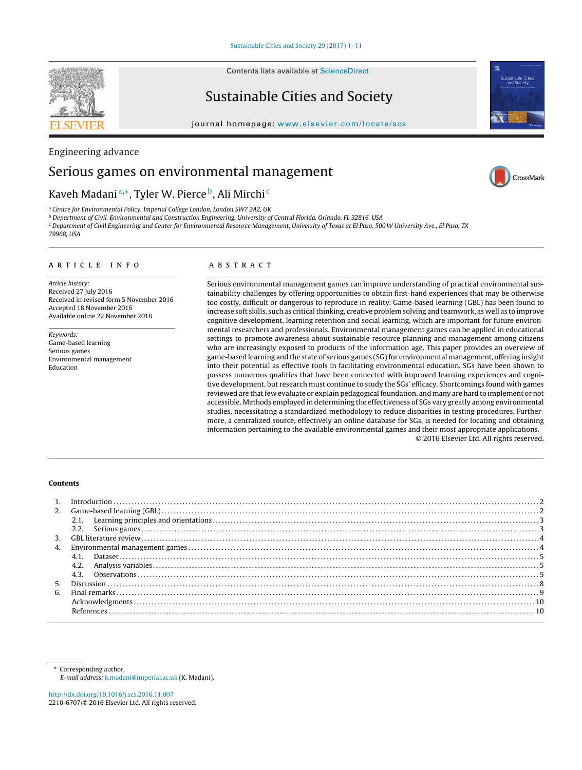Contents lists available at [ScienceDirect](http://www.sciencedirect.com/science/journal/22106707)

# Sustainable Cities and Society

journal homepage: [www.elsevier.com/locate/scs](http://www.elsevier.com/locate/scs)

## Engineering advance

# Serious games on environmental management

# Kaveh Madani<sup>a,∗</sup>, Tyler W. Pierce<sup>b</sup>, Ali Mirchi<sup>c</sup>

<sup>a</sup> Centre for Environmental Policy, Imperial College London, London SW7 2AZ, UK

<sup>b</sup> Department of Civil, Environmental and Construction Engineering, University of Central Florida, Orlando, FL 32816, USA

<sup>c</sup> Department of Civil Engineering and Center for Environmental Resource Management, University of Texas at El Paso, 500W University Ave., El Paso, TX 79968, USA

#### a r t i c l e i n f o

Article history: Received 27 July 2016 Received in revised form 5 November 2016 Accepted 18 November 2016 Available online 22 November 2016

Keywords: Game-based learning Serious games Environmental management Education

### A B S T R A C T

Serious environmental management games can improve understanding of practical environmental sustainability challenges by offering opportunities to obtain first-hand experiences that may be otherwise too costly, difficult or dangerous to reproduce in reality. Game-based learning (GBL) has been found to increase soft skills, such as critical thinking, creative problem solving and teamwork, as well as to improve cognitive development, learning retention and social learning, which are important for future environmental researchers and professionals. Environmental management games can be applied in educational settings to promote awareness about sustainable resource planning and management among citizens who are increasingly exposed to products of the information age. This paper provides an overview of game-based learning and the state of serious games (SG)for environmental management, offering insight into their potential as effective tools in facilitating environmental education. SGs have been shown to possess numerous qualities that have been connected with improved learning experiences and cognitive development, but research must continue to study the SGs' efficacy. Shortcomings found with games reviewed are that few evaluate or explain pedagogical foundation, and many are hard to implement or not accessible. Methods employed in determining the effectiveness of SGs vary greatly among environmental studies, necessitating a standardized methodology to reduce disparities in testing procedures. Furthermore, a centralized source, effectively an online database for SGs, is needed for locating and obtaining information pertaining to the available environmental games and their most appropriate applications. © 2016 Elsevier Ltd. All rights reserved.

#### **Contents**

| 4. |      |  |  |  |
|----|------|--|--|--|
|    | 4.1  |  |  |  |
|    |      |  |  |  |
|    | 4.3. |  |  |  |
|    |      |  |  |  |
| 6  |      |  |  |  |
|    |      |  |  |  |
|    |      |  |  |  |
|    |      |  |  |  |

∗ Corresponding author. E-mail address: [k.madani@imperial.ac.uk](mailto:k.madani@imperial.ac.uk) (K. Madani).

[http://dx.doi.org/10.1016/j.scs.2016.11.007](dx.doi.org/10.1016/j.scs.2016.11.007) 2210-6707/© 2016 Elsevier Ltd. All rights reserved.





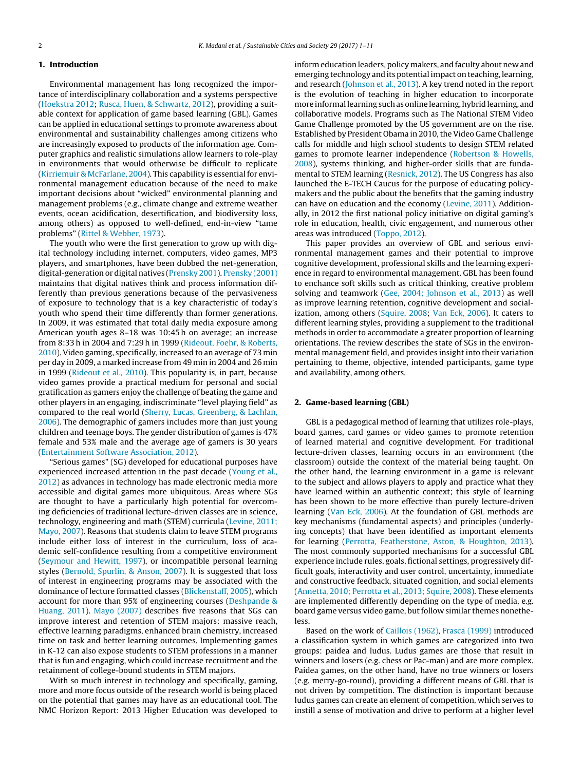#### **1. Introduction**

Environmental management has long recognized the importance of interdisciplinary collaboration and a systems perspective ([Hoekstra](#page-9-0) [2012;](#page-9-0) [Rusca,](#page-10-0) [Huen,](#page-10-0) [&](#page-10-0) [Schwartz,](#page-10-0) [2012\),](#page-10-0) providing a suitable context for application of game based learning (GBL). Games can be applied in educational settings to promote awareness about environmental and sustainability challenges among citizens who are increasingly exposed to products of the information age. Computer graphics and realistic simulations allow learners to role-play in environments that would otherwise be difficult to replicate ([Kirriemuir](#page-9-0) [&](#page-9-0) [McFarlane,](#page-9-0) [2004\).](#page-9-0) This capability is essential for environmental management education because of the need to make important decisions about "wicked" environmental planning and management problems (e.g., climate change and extreme weather events, ocean acidification, desertification, and biodiversity loss, among others) as opposed to well-defined, end-in-view "tame problems" ([Rittel](#page-10-0) [&](#page-10-0) [Webber,](#page-10-0) [1973\).](#page-10-0)

The youth who were the first generation to grow up with digital technology including internet, computers, video games, MP3 players, and smartphones, have been dubbed the net-generation, digital-generation or digital natives [\(Prensky](#page-10-0) [2001\).](#page-10-0) [Prensky](#page-10-0) [\(2001\)](#page-10-0) maintains that digital natives think and process information differently than previous generations because of the pervasiveness of exposure to technology that is a key characteristic of today's youth who spend their time differently than former generations. In 2009, it was estimated that total daily media exposure among American youth ages 8–18 was 10:45 h on average; an increase from 8:33 h in 2004 and 7:29 h in 1999 [\(Rideout,](#page-10-0) [Foehr,](#page-10-0) [&](#page-10-0) [Roberts,](#page-10-0) [2010\).](#page-10-0) Video gaming, specifically, increased to an average of 73 min per day in 2009, a marked increase from 49 min in 2004 and 26 min in 1999 [\(Rideout](#page-10-0) et [al.,](#page-10-0) [2010\).](#page-10-0) This popularity is, in part, because video games provide a practical medium for personal and social gratification as gamers enjoy the challenge of beating the game and other players in an engaging, indiscriminate "level playing field" as compared to the real world ([Sherry,](#page-10-0) [Lucas,](#page-10-0) [Greenberg,](#page-10-0) [&](#page-10-0) [Lachlan,](#page-10-0) [2006\).](#page-10-0) The demographic of gamers includes more than just young children and teenage boys. The gender distribution of games is 47% female and 53% male and the average age of gamers is 30 years ([Entertainment](#page-9-0) [Software](#page-9-0) [Association,](#page-9-0) [2012\).](#page-9-0)

"Serious games" (SG) developed for educational purposes have experienced increased attention in the past decade ([Young](#page-10-0) et [al.,](#page-10-0) [2012\)](#page-10-0) as advances in technology has made electronic media more accessible and digital games more ubiquitous. Areas where SGs are thought to have a particularly high potential for overcoming deficiencies of traditional lecture-driven classes are in science, technology, engineering and math (STEM) curricula ([Levine,](#page-9-0) [2011;](#page-9-0) [Mayo,](#page-9-0) [2007\).](#page-9-0) Reasons that students claim to leave STEM programs include either loss of interest in the curriculum, loss of academic self-confidence resulting from a competitive environment ([Seymour](#page-10-0) [and](#page-10-0) [Hewitt,](#page-10-0) [1997\),](#page-10-0) or incompatible personal learning styles ([Bernold,](#page-9-0) [Spurlin,](#page-9-0) [&](#page-9-0) [Anson,](#page-9-0) [2007\).](#page-9-0) It is suggested that loss of interest in engineering programs may be associated with the dominance of lecture formatted classes [\(Blickenstaff,](#page-9-0) [2005\),](#page-9-0) which account for more than 95% of engineering courses [\(Deshpande](#page-9-0) [&](#page-9-0) [Huang,](#page-9-0) [2011\).](#page-9-0) [Mayo](#page-10-0) [\(2007\)](#page-10-0) describes five reasons that SGs can improve interest and retention of STEM majors: massive reach, effective learning paradigms, enhanced brain chemistry, increased time on task and better learning outcomes. Implementing games in K-12 can also expose students to STEM professions in a manner that is fun and engaging, which could increase recruitment and the retainment of college-bound students in STEM majors.

With so much interest in technology and specifically, gaming, more and more focus outside of the research world is being placed on the potential that games may have as an educational tool. The NMC Horizon Report: 2013 Higher Education was developed to inform education leaders, policy makers, and faculty about new and emerging technology and its potential impact on teaching, learning, and research [\(Johnson](#page-9-0) et [al.,](#page-9-0) [2013\).](#page-9-0) A key trend noted in the report is the evolution of teaching in higher education to incorporate more informal learning such as online learning, hybrid learning, and collaborative models. Programs such as The National STEM Video Game Challenge promoted by the US government are on the rise. Established by President Obama in 2010, the Video Game Challenge calls for middle and high school students to design STEM related games to promote learner independence [\(Robertson](#page-10-0) [&](#page-10-0) [Howells,](#page-10-0) [2008\),](#page-10-0) systems thinking, and higher-order skills that are fundamental to STEM learning ([Resnick,](#page-10-0) [2012\).](#page-10-0) The US Congress has also launched the E-TECH Caucus for the purpose of educating policymakers and the public about the benefits that the gaming industry can have on education and the economy ([Levine,](#page-9-0) [2011\).](#page-9-0) Additionally, in 2012 the first national policy initiative on digital gaming's role in education, health, civic engagement, and numerous other areas was introduced ([Toppo,](#page-10-0) [2012\).](#page-10-0)

This paper provides an overview of GBL and serious environmental management games and their potential to improve cognitive development, professional skills and the learning experience in regard to environmental management. GBL has been found to enchance soft skills such as critical thinking, creative problem solving and teamwork [\(Gee,](#page-9-0) [2004;](#page-9-0) [Johnson](#page-9-0) et [al.,](#page-9-0) [2013\)](#page-9-0) as well as improve learning retention, cognitive development and socialization, among others [\(Squire,](#page-10-0) [2008;](#page-10-0) [Van](#page-10-0) [Eck,](#page-10-0) [2006\).](#page-10-0) It caters to different learning styles, providing a supplement to the traditional methods in order to accommodate a greater proportion of learning orientations. The review describes the state of SGs in the environmental management field, and provides insight into their variation pertaining to theme, objective, intended participants, game type and availability, among others.

#### **2. Game-based learning (GBL)**

GBL is a pedagogical method of learning that utilizes role-plays, board games, card games or video games to promote retention of learned material and cognitive development. For traditional lecture-driven classes, learning occurs in an environment (the classroom) outside the context of the material being taught. On the other hand, the learning environment in a game is relevant to the subject and allows players to apply and practice what they have learned within an authentic context; this style of learning has been shown to be more effective than purely lecture-driven learning [\(Van](#page-10-0) [Eck,](#page-10-0) [2006\).](#page-10-0) At the foundation of GBL methods are key mechanisms (fundamental aspects) and principles (underlying concepts) that have been identified as important elements for learning ([Perrotta,](#page-10-0) [Featherstone,](#page-10-0) [Aston,](#page-10-0) [&](#page-10-0) [Houghton,](#page-10-0) [2013\).](#page-10-0) The most commonly supported mechanisms for a successful GBL experience include rules, goals, fictional settings, progressively difficult goals, interactivity and user control, uncertainty, immediate and constructive feedback, situated cognition, and social elements [\(Annetta,](#page-9-0) [2010;](#page-9-0) [Perrotta](#page-9-0) et [al.,](#page-9-0) [2013;](#page-9-0) [Squire,](#page-9-0) [2008\).](#page-9-0) These elements are implemented differently depending on the type of media, e.g. board game versus video game, but follow similar themes nonetheless.

Based on the work of [Caillois](#page-9-0) [\(1962\),](#page-9-0) [Frasca](#page-9-0) [\(1999\)](#page-9-0) introduced a classification system in which games are categorized into two groups: paidea and ludus. Ludus games are those that result in winners and losers (e.g. chess or Pac-man) and are more complex. Paidea games, on the other hand, have no true winners or losers (e.g. merry-go-round), providing a different means of GBL that is not driven by competition. The distinction is important because ludus games can create an element of competition, which serves to instill a sense of motivation and drive to perform at a higher level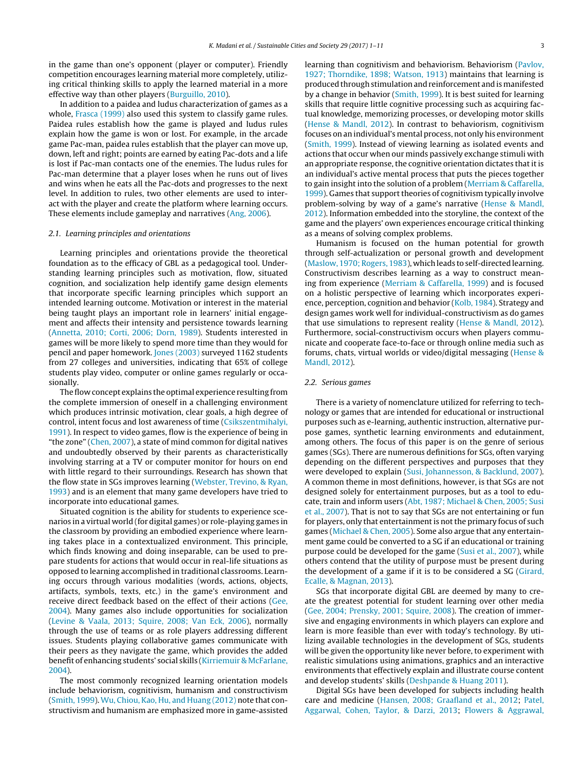in the game than one's opponent (player or computer). Friendly competition encourages learning material more completely, utilizing critical thinking skills to apply the learned material in a more effective way than other players [\(Burguillo,](#page-9-0) [2010\).](#page-9-0)

In addition to a paidea and ludus characterization of games as a whole, [Frasca](#page-9-0) [\(1999\)](#page-9-0) also used this system to classify game rules. Paidea rules establish how the game is played and ludus rules explain how the game is won or lost. For example, in the arcade game Pac-man, paidea rules establish that the player can move up, down, left and right; points are earned by eating Pac-dots and a life is lost if Pac-man contacts one of the enemies. The ludus rules for Pac-man determine that a player loses when he runs out of lives and wins when he eats all the Pac-dots and progresses to the next level. In addition to rules, two other elements are used to interact with the player and create the platform where learning occurs. These elements include gameplay and narratives [\(Ang,](#page-9-0) [2006\).](#page-9-0)

#### 2.1. Learning principles and orientations

Learning principles and orientations provide the theoretical foundation as to the efficacy of GBL as a pedagogical tool. Understanding learning principles such as motivation, flow, situated cognition, and socialization help identify game design elements that incorporate specific learning principles which support an intended learning outcome. Motivation or interest in the material being taught plays an important role in learners' initial engagement and affects their intensity and persistence towards learning ([Annetta,](#page-9-0) [2010;](#page-9-0) [Corti,](#page-9-0) [2006;](#page-9-0) [Dorn,](#page-9-0) [1989\).](#page-9-0) Students interested in games will be more likely to spend more time than they would for pencil and paper homework. [Jones](#page-9-0) [\(2003\)](#page-9-0) surveyed 1162 students from 27 colleges and universities, indicating that 65% of college students play video, computer or online games regularly or occasionally.

The flow concept explains the optimal experience resulting from the complete immersion of oneself in a challenging environment which produces intrinsic motivation, clear goals, a high degree of control, intent focus and lost awareness of time [\(Csikszentmihalyi,](#page-9-0) [1991\).](#page-9-0) In respect to video games, flow is the experience of being in "the zone" ([Chen,](#page-9-0) [2007\),](#page-9-0) a state of mind common for digital natives and undoubtedly observed by their parents as characteristically involving starring at a TV or computer monitor for hours on end with little regard to their surroundings. Research has shown that the flow state in SGs improves learning [\(Webster,](#page-10-0) [Trevino,](#page-10-0) [&](#page-10-0) [Ryan,](#page-10-0) [1993\)](#page-10-0) and is an element that many game developers have tried to incorporate into educational games.

Situated cognition is the ability for students to experience scenarios in a virtual world (for digital games) or role-playing games in the classroom by providing an embodied experience where learning takes place in a contextualized environment. This principle, which finds knowing and doing inseparable, can be used to prepare students for actions that would occur in real-life situations as opposed to learning accomplished in traditional classrooms. Learning occurs through various modalities (words, actions, objects, artifacts, symbols, texts, etc.) in the game's environment and receive direct feedback based on the effect of their actions ([Gee,](#page-9-0) [2004\).](#page-9-0) Many games also include opportunities for socialization ([Levine](#page-9-0) [&](#page-9-0) [Vaala,](#page-9-0) [2013;](#page-9-0) [Squire,](#page-9-0) [2008;](#page-9-0) [Van](#page-9-0) [Eck,](#page-9-0) [2006\),](#page-9-0) normally through the use of teams or as role players addressing different issues. Students playing collaborative games communicate with their peers as they navigate the game, which provides the added benefit of enhancing students' social skills ([Kirriemuir](#page-9-0) [&](#page-9-0) [McFarlane,](#page-9-0) [2004\).](#page-9-0)

The most commonly recognized learning orientation models include behaviorism, cognitivism, humanism and constructivism ([Smith,](#page-10-0) [1999\).](#page-10-0) [Wu,](#page-10-0) [Chiou,](#page-10-0) [Kao,](#page-10-0) [Hu,](#page-10-0) [and](#page-10-0) [Huang](#page-10-0) [\(2012\)](#page-10-0) note that constructivism and humanism are emphasized more in game-assisted learning than cognitivism and behaviorism. Behaviorism ([Pavlov,](#page-10-0) [1927;](#page-10-0) [Thorndike,](#page-10-0) [1898;](#page-10-0) [Watson,](#page-10-0) [1913\)](#page-10-0) maintains that learning is produced through stimulation and reinforcement and is manifested by a change in behavior [\(Smith,](#page-10-0) [1999\).](#page-10-0) It is best suited for learning skills that require little cognitive processing such as acquiring factual knowledge, memorizing processes, or developing motor skills [\(Hense](#page-9-0) [&](#page-9-0) [Mandl,](#page-9-0) [2012\).](#page-9-0) In contrast to behaviorism, cognitivism focuses on an individual's mental process, not only his environment [\(Smith,](#page-10-0) [1999\).](#page-10-0) Instead of viewing learning as isolated events and actions that occur when our minds passively exchange stimuli with an appropriate response, the cognitive orientation dictates that it is an individual's active mental process that puts the pieces together to gain insight into the solution of a problem [\(Merriam](#page-10-0) [&](#page-10-0) [Caffarella,](#page-10-0) [1999\).](#page-10-0) Games that support theories of cognitivism typically involve problem-solving by way of a game's narrative [\(Hense](#page-9-0) [&](#page-9-0) [Mandl,](#page-9-0) [2012\).](#page-9-0) Information embedded into the storyline, the context of the game and the players' own experiences encourage critical thinking as a means of solving complex problems.

Humanism is focused on the human potential for growth through self-actualization or personal growth and development [\(Maslow,](#page-9-0) 1970; Rogers, [1983\),](#page-9-0) which leads to self-directed learning. Constructivism describes learning as a way to construct meaning from experience ([Merriam](#page-10-0) [&](#page-10-0) [Caffarella,](#page-10-0) [1999\)](#page-10-0) and is focused on a holistic perspective of learning which incorporates experience, perception, cognition and behavior ([Kolb,](#page-9-0) [1984\).](#page-9-0) Strategy and design games work well for individual-constructivism as do games that use simulations to represent reality [\(Hense](#page-9-0) [&](#page-9-0) [Mandl,](#page-9-0) [2012\).](#page-9-0) Furthermore, social-constructivism occurs when players communicate and cooperate face-to-face or through online media such as forums, chats, virtual worlds or video/digital messaging ([Hense](#page-9-0) [&](#page-9-0) [Mandl,](#page-9-0) [2012\).](#page-9-0)

#### 2.2. Serious games

There is a variety of nomenclature utilized for referring to technology or games that are intended for educational or instructional purposes such as e-learning, authentic instruction, alternative purpose games, synthetic learning environments and edutainment, among others. The focus of this paper is on the genre of serious games (SGs). There are numerous definitions for SGs, often varying depending on the different perspectives and purposes that they were developed to explain ([Susi,](#page-10-0) [Johannesson,](#page-10-0) [&](#page-10-0) [Backlund,](#page-10-0) [2007\).](#page-10-0) A common theme in most definitions, however, is that SGs are not designed solely for entertainment purposes, but as a tool to educate, train and inform users ([Abt,](#page-9-0) [1987;](#page-9-0) [Michael](#page-9-0) [&](#page-9-0) [Chen,](#page-9-0) [2005;](#page-9-0) [Susi](#page-9-0) et [al.,](#page-9-0) [2007\).](#page-9-0) That is not to say that SGs are not entertaining or fun for players, only that entertainment is not the primary focus of such games [\(Michael](#page-10-0) [&](#page-10-0) [Chen,](#page-10-0) [2005\).](#page-10-0) Some also argue that any entertainment game could be converted to a SG if an educational or training purpose could be developed for the game ([Susi](#page-10-0) et [al.,](#page-10-0) [2007\),](#page-10-0) while others contend that the utility of purpose must be present during the development of a game if it is to be considered a SG [\(Girard,](#page-9-0) [Ecalle,](#page-9-0) [&](#page-9-0) [Magnan,](#page-9-0) [2013\).](#page-9-0)

SGs that incorporate digital GBL are deemed by many to create the greatest potential for student learning over other media [\(Gee,](#page-9-0) [2004;](#page-9-0) [Prensky,](#page-9-0) [2001;](#page-9-0) [Squire,](#page-9-0) [2008\).](#page-9-0) The creation of immersive and engaging environments in which players can explore and learn is more feasible than ever with today's technology. By utilizing available technologies in the development of SGs, students will be given the opportunity like never before, to experiment with realistic simulations using animations, graphics and an interactive environments that effectively explain and illustrate course content and develop students' skills [\(Deshpande](#page-9-0) [&](#page-9-0) [Huang](#page-9-0) [2011\).](#page-9-0)

Digital SGs have been developed for subjects including health care and medicine ([Hansen,](#page-9-0) [2008;](#page-9-0) [Graafland](#page-9-0) et [al.,](#page-9-0) [2012;](#page-9-0) [Patel,](#page-10-0) [Aggarwal,](#page-10-0) [Cohen,](#page-10-0) [Taylor,](#page-10-0) [&](#page-10-0) [Darzi,](#page-10-0) [2013;](#page-10-0) [Flowers](#page-9-0) [&](#page-9-0) [Aggrawal,](#page-9-0)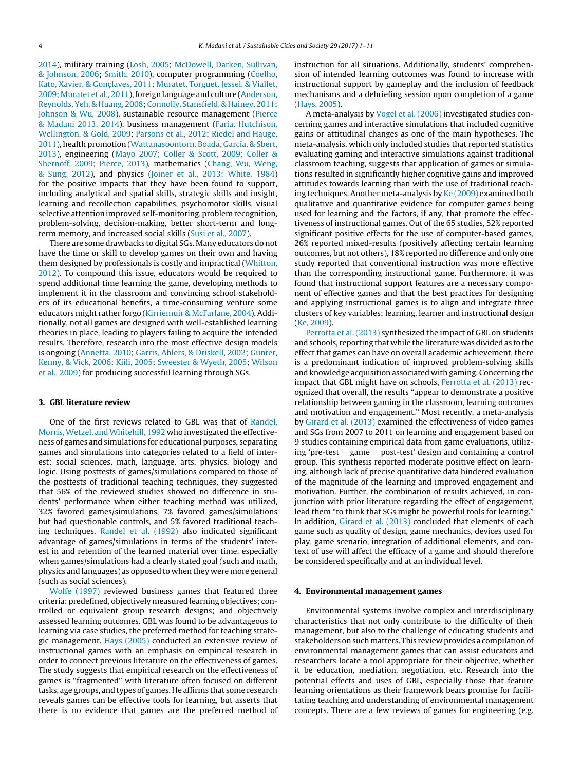[2014\),](#page-9-0) military training [\(Losh,](#page-9-0) [2005;](#page-9-0) [McDowell,](#page-10-0) [Darken,](#page-10-0) [Sullivan,](#page-10-0) [&](#page-10-0) [Johnson,](#page-10-0) [2006;](#page-10-0) [Smith,](#page-10-0) [2010\),](#page-10-0) computer programming [\(Coelho,](#page-9-0) [Kato,](#page-9-0) [Xavier,](#page-9-0) [&](#page-10-0) Gonç[laves,](#page-9-0) [2011;](#page-9-0) [Muratet,](#page-10-0) [Torguet,](#page-10-0) [Jessel,](#page-10-0) & [Viallet,](#page-10-0) 2009; Muratet et [al.,](#page-10-0) [2011\),](#page-10-0) foreign language and culture ([Anderson,](#page-9-0) [Reynolds,](#page-9-0) [Yeh,](#page-9-0) [&](#page-9-0) [Huang,](#page-9-0) [2008;](#page-9-0) [Connolly,](#page-9-0) [Stansfield,](#page-9-0) [&](#page-9-0) [Hainey,](#page-9-0) [2011;](#page-9-0) [Johnson](#page-9-0) [&](#page-9-0) [Wu,](#page-9-0) [2008\),](#page-9-0) sustainable resource management [\(Pierce](#page-10-0) [&](#page-10-0) [Madani](#page-10-0) [2013,](#page-10-0) [2014\),](#page-10-0) business management [\(Faria,](#page-9-0) [Hutchison,](#page-9-0) [Wellington,](#page-9-0) [&](#page-9-0) [Gold,](#page-9-0) [2009;](#page-9-0) [Parsons](#page-10-0) et [al.,](#page-10-0) [2012;](#page-10-0) [Riedel](#page-10-0) [and](#page-10-0) [Hauge,](#page-10-0) [2011\),](#page-10-0) health promotion ([Wattanasoontorn,](#page-10-0) [Boada,](#page-10-0) [García,](#page-10-0) [&](#page-10-0) [Sbert,](#page-10-0) [2013\),](#page-10-0) engineering ([Mayo](#page-10-0) [2007;](#page-10-0) [Coller](#page-10-0) [&](#page-10-0) [Scott,](#page-10-0) [2009;](#page-10-0) [Coller](#page-10-0) [&](#page-10-0) [Shernoff,](#page-10-0) [2009;](#page-10-0) [Pierce,](#page-10-0) [2013\),](#page-10-0) mathematics ([Chang,](#page-9-0) [Wu,](#page-9-0) [Weng,](#page-9-0) [&](#page-9-0) [Sung,](#page-9-0) [2012\),](#page-9-0) and physics ([Joiner](#page-9-0) et [al.,](#page-9-0) [2013;](#page-9-0) [White,](#page-9-0) [1984\)](#page-9-0) for the positive impacts that they have been found to support, including analytical and spatial skills, strategic skills and insight, learning and recollection capabilities, psychomotor skills, visual selective attention improved self-monitoring, problem recognition, problem-solving, decision-making, better short-term and longterm memory, and increased social skills [\(Susi](#page-10-0) et [al.,](#page-10-0) [2007\).](#page-10-0)

There are some drawbacks to digital SGs. Many educators do not have the time or skill to develop games on their own and having them designed by professionals is costly and impractical [\(Whitton,](#page-10-0) [2012\).](#page-10-0) To compound this issue, educators would be required to spend additional time learning the game, developing methods to implement it in the classroom and convincing school stakeholders of its educational benefits, a time-consuming venture some educators might rather forgo ([Kirriemuir](#page-9-0) [&](#page-9-0) [McFarlane,](#page-9-0) [2004\).](#page-9-0) Additionally, not all games are designed with well-established learning theories in place, leading to players failing to acquire the intended results. Therefore, research into the most effective design models is ongoing [\(Annetta,](#page-9-0) [2010;](#page-9-0) [Garris,](#page-9-0) [Ahlers,](#page-9-0) [&](#page-9-0) [Driskell,](#page-9-0) [2002;](#page-9-0) [Gunter,](#page-9-0) [Kenny,](#page-9-0) [&](#page-9-0) [Vick,](#page-9-0) [2006;](#page-9-0) [Kiili,](#page-9-0) [2005;](#page-9-0) [Sweester](#page-10-0) [&](#page-10-0) [Wyeth,](#page-10-0) [2005;](#page-10-0) [Wilson](#page-10-0) et [al.,](#page-10-0) [2009\)](#page-10-0) for producing successful learning through SGs.

#### **3. GBL literature review**

One of the first reviews related to GBL was that of [Randel,](#page-10-0) [Morris,](#page-10-0) [Wetzel,](#page-10-0) [and](#page-10-0) [Whitehill,](#page-10-0) [1992](#page-10-0) who investigated the effectiveness of games and simulations for educational purposes, separating games and simulations into categories related to a field of interest: social sciences, math, language, arts, physics, biology and logic. Using posttests of games/simulations compared to those of the posttests of traditional teaching techniques, they suggested that 56% of the reviewed studies showed no difference in students' performance when either teaching method was utilized, 32% favored games/simulations, 7% favored games/simulations but had questionable controls, and 5% favored traditional teaching techniques. [Randel](#page-10-0) et [al.](#page-10-0) [\(1992\)](#page-10-0) also indicated significant advantage of games/simulations in terms of the students' interest in and retention of the learned material over time, especially when games/simulations had a clearly stated goal (such and math, physics and languages) as opposed to when they were more general (such as social sciences).

[Wolfe](#page-10-0) [\(1997\)](#page-10-0) reviewed business games that featured three criteria: predefined, objectively measured learning objectives; controlled or equivalent group research designs; and objectively assessed learning outcomes. GBL was found to be advantageous to learning via case studies, the preferred method for teaching strategic management. [Hays](#page-9-0) [\(2005\)](#page-9-0) conducted an extensive review of instructional games with an emphasis on empirical research in order to connect previous literature on the effectiveness of games. The study suggests that empirical research on the effectiveness of games is "fragmented" with literature often focused on different tasks, age groups, and types of games. He affirms that some research reveals games can be effective tools for learning, but asserts that there is no evidence that games are the preferred method of instruction for all situations. Additionally, students' comprehension of intended learning outcomes was found to increase with instructional support by gameplay and the inclusion of feedback mechanisms and a debriefing session upon completion of a game [\(Hays,](#page-9-0) [2005\).](#page-9-0)

A meta-analysis by [Vogel](#page-10-0) et [al.](#page-10-0) [\(2006\)](#page-10-0) investigated studies concerning games and interactive simulations that included cognitive gains or attitudinal changes as one of the main hypotheses. The meta-analysis, which only included studies that reported statistics evaluating gaming and interactive simulations against traditional classroom teaching, suggests that application of games or simulations resulted in significantly higher cognitive gains and improved attitudes towards learning than with the use of traditional teaching techniques. Another meta-analysis by [Ke](#page-9-0) [\(2009\)](#page-9-0) examined both qualitative and quantitative evidence for computer games being used for learning and the factors, if any, that promote the effectiveness of instructional games. Out of the 65 studies, 52% reported significant positive effects for the use of computer-based games, 26% reported mixed-results (positively affecting certain learning outcomes, but not others), 18% reported no difference and only one study reported that conventional instruction was more effective than the corresponding instructional game. Furthermore, it was found that instructional support features are a necessary component of effective games and that the best practices for designing and applying instructional games is to align and integrate three clusters of key variables: learning, learner and instructional design [\(Ke,](#page-9-0) [2009\).](#page-9-0)

[Perrotta](#page-10-0) et [al.](#page-10-0) [\(2013\)](#page-10-0) synthesized the impact of GBL on students and schools, reporting that while the literature was divided as to the effect that games can have on overall academic achievement, there is a predominant indication of improved problem-solving skills and knowledge acquisition associated with gaming. Concerning the impact that GBL might have on schools, [Perrotta](#page-10-0) et [al.](#page-10-0) [\(2013\)](#page-10-0) recognized that overall, the results "appear to demonstrate a positive relationship between gaming in the classroom, learning outcomes and motivation and engagement." Most recently, a meta-analysis by [Girard](#page-9-0) et [al.](#page-9-0) [\(2013\)](#page-9-0) examined the effectiveness of video games and SGs from 2007 to 2011 on learning and engagement based on 9 studies containing empirical data from game evaluations, utilizing 'pre-test − game − post-test' design and containing a control group. This synthesis reported moderate positive effect on learning, although lack of precise quantitative data hindered evaluation of the magnitude of the learning and improved engagement and motivation. Further, the combination of results achieved, in conjunction with prior literature regarding the effect of engagement, lead them "to think that SGs might be powerful tools for learning." In addition, [Girard](#page-9-0) et [al.](#page-9-0) [\(2013\)](#page-9-0) concluded that elements of each game such as quality of design, game mechanics, devices used for play, game scenario, integration of additional elements, and context of use will affect the efficacy of a game and should therefore be considered specifically and at an individual level.

#### **4. Environmental management games**

Environmental systems involve complex and interdisciplinary characteristics that not only contribute to the difficulty of their management, but also to the challenge of educating students and stakeholders on such matters. This review provides a compilation of environmental management games that can assist educators and researchers locate a tool appropriate for their objective, whether it be education, mediation, negotiation, etc. Research into the potential effects and uses of GBL, especially those that feature learning orientations as their framework bears promise for facilitating teaching and understanding of environmental management concepts. There are a few reviews of games for engineering (e.g.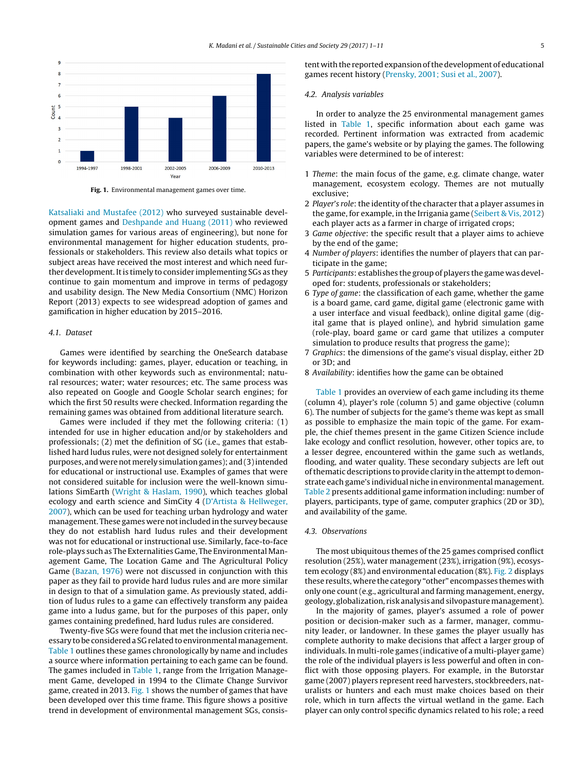

**Fig. 1.** Environmental management games over time.

[Katsaliaki](#page-9-0) [and](#page-9-0) [Mustafee](#page-9-0) [\(2012\)](#page-9-0) who surveyed sustainable development games and [Deshpande](#page-9-0) [and](#page-9-0) [Huang](#page-9-0) [\(2011\)](#page-9-0) who reviewed simulation games for various areas of engineering), but none for environmental management for higher education students, professionals or stakeholders. This review also details what topics or subject areas have received the most interest and which need further development. Itis timely to consider implementing SGs as they continue to gain momentum and improve in terms of pedagogy and usability design. The New Media Consortium (NMC) Horizon Report (2013) expects to see widespread adoption of games and gamification in higher education by 2015–2016.

#### 4.1. Dataset

Games were identified by searching the OneSearch database for keywords including: games, player, education or teaching, in combination with other keywords such as environmental; natural resources; water; water resources; etc. The same process was also repeated on Google and Google Scholar search engines; for which the first 50 results were checked. Information regarding the remaining games was obtained from additional literature search.

Games were included if they met the following criteria: (1) intended for use in higher education and/or by stakeholders and professionals; (2) met the definition of SG (i.e., games that established hard ludus rules, were not designed solely for entertainment purposes, and were not merely simulation games); and (3) intended for educational or instructional use. Examples of games that were not considered suitable for inclusion were the well-known simulations SimEarth ([Wright](#page-10-0) [&](#page-10-0) [Haslam,](#page-10-0) [1990\),](#page-10-0) which teaches global ecology and earth science and SimCity 4 ([D'Artista](#page-9-0) [&](#page-9-0) [Hellweger,](#page-9-0) [2007\),](#page-9-0) which can be used for teaching urban hydrology and water management. These games were not included in the survey because they do not establish hard ludus rules and their development was not for educational or instructional use. Similarly, face-to-face role-plays such as The Externalities Game, The Environmental Management Game, The Location Game and The Agricultural Policy Game ([Bazan,](#page-9-0) [1976\)](#page-9-0) were not discussed in conjunction with this paper as they fail to provide hard ludus rules and are more similar in design to that of a simulation game. As previously stated, addition of ludus rules to a game can effectively transform any paidea game into a ludus game, but for the purposes of this paper, only games containing predefined, hard ludus rules are considered.

Twenty-five SGs were found that met the inclusion criteria necessary to be considered a SG related to environmental management. [Table](#page-5-0) 1 outlines these games chronologically by name and includes a source where information pertaining to each game can be found. The games included in [Table](#page-5-0) 1, range from the Irrigation Management Game, developed in 1994 to the Climate Change Survivor game, created in 2013. Fig. 1 shows the number of games that have been developed over this time frame. This figure shows a positive trend in development of environmental management SGs, consistent with the reported expansion of the development of educational games recent history [\(Prensky,](#page-10-0) [2001;](#page-10-0) [Susi](#page-10-0) et [al.,](#page-10-0) [2007\).](#page-10-0)

#### 4.2. Analysis variables

In order to analyze the 25 environmental management games listed in [Table](#page-5-0) 1, specific information about each game was recorded. Pertinent information was extracted from academic papers, the game's website or by playing the games. The following variables were determined to be of interest:

- 1 Theme: the main focus of the game, e.g. climate change, water management, ecosystem ecology. Themes are not mutually exclusive;
- 2 Player's role: the identity of the character that a player assumes in the game, for example, in the Irrigania game [\(Seibert](#page-10-0) [&](#page-10-0) [Vis,](#page-10-0) [2012\)](#page-10-0) each player acts as a farmer in charge of irrigated crops;
- 3 Game objective: the specific result that a player aims to achieve by the end of the game;
- 4 Number of players: identifies the number of players that can participate in the game;
- 5 Participants: establishes the group of players the game was developed for: students, professionals or stakeholders;
- 6 Type of game: the classification of each game, whether the game is a board game, card game, digital game (electronic game with a user interface and visual feedback), online digital game (digital game that is played online), and hybrid simulation game (role-play, board game or card game that utilizes a computer simulation to produce results that progress the game);
- 7 Graphics: the dimensions of the game's visual display, either 2D or 3D; and
- 8 Availability: identifies how the game can be obtained

[Table](#page-5-0) 1 provides an overview of each game including its theme (column 4), player's role (column 5) and game objective (column 6). The number of subjects for the game's theme was kept as small as possible to emphasize the main topic of the game. For example, the chief themes present in the game Citizen Science include lake ecology and conflict resolution, however, other topics are, to a lesser degree, encountered within the game such as wetlands, flooding, and water quality. These secondary subjects are left out of thematic descriptions to provide clarity in the attempt to demonstrate each game's individual niche in environmental management. [Table](#page-7-0) 2 presents additional game information including: number of players, participants, type of game, computer graphics (2D or 3D), and availability of the game.

#### 4.3. Observations

The most ubiquitous themes of the 25 games comprised conflict resolution (25%), water management (23%), irrigation (9%), ecosystem ecology (8%) and environmental education (8%). [Fig.](#page-6-0) 2 displays these results, where the category "other" encompasses themes with only one count(e.g., agricultural and farming management, energy, geology, globalization, risk analysis and silvopasture management).

In the majority of games, player's assumed a role of power position or decision-maker such as a farmer, manager, community leader, or landowner. In these games the player usually has complete authority to make decisions that affect a larger group of individuals. In multi-role games (indicative of a multi-player game) the role of the individual players is less powerful and often in conflict with those opposing players. For example, in the Butorstar game (2007) players represent reed harvesters, stockbreeders, naturalists or hunters and each must make choices based on their role, which in turn affects the virtual wetland in the game. Each player can only control specific dynamics related to his role; a reed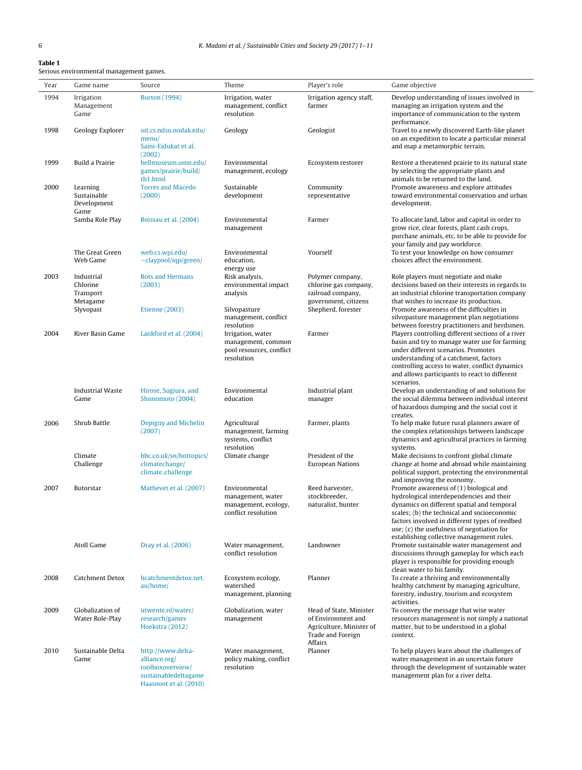#### <span id="page-5-0"></span>**Table 1** Serious environmental management games.

| Year | Game name                                       | Source                                                                                                   | Theme                                                                             | Player's role                                                                                             | Game objective                                                                                                                                                                                                                                                                                                                |
|------|-------------------------------------------------|----------------------------------------------------------------------------------------------------------|-----------------------------------------------------------------------------------|-----------------------------------------------------------------------------------------------------------|-------------------------------------------------------------------------------------------------------------------------------------------------------------------------------------------------------------------------------------------------------------------------------------------------------------------------------|
| 1994 | Irrigation<br>Management<br>Game                | <b>Burton</b> (1994)                                                                                     | Irrigation, water<br>management, conflict<br>resolution                           | Irrigation agency staff,<br>farmer                                                                        | Develop understanding of issues involved in<br>managing an irrigation system and the<br>importance of communication to the system<br>performance.                                                                                                                                                                             |
| 1998 | Geology Explorer                                | oit.cs.ndsu.nodak.edu/<br>menu/<br>Saini-Eidukat et al.<br>(2002)                                        | Geology                                                                           | Geologist                                                                                                 | Travel to a newly discovered Earth-like planet<br>on an expedition to locate a particular mineral<br>and map a metamorphic terrain.                                                                                                                                                                                           |
| 1999 | Build a Prairie                                 | bellmuseum.umn.edu/<br>games/prairie/build/<br>tb1.html                                                  | Environmental<br>management, ecology                                              | Ecosystem restorer                                                                                        | Restore a threatened prairie to its natural state<br>by selecting the appropriate plants and<br>animals to be returned to the land.                                                                                                                                                                                           |
| 2000 | Learning<br>Sustainable<br>Development<br>Game  | <b>Torres and Macedo</b><br>(2000)                                                                       | Sustainable<br>development                                                        | Community<br>representative                                                                               | Promote awareness and explore attitudes<br>toward environmental conservation and urban<br>development.                                                                                                                                                                                                                        |
|      | Samba Role Play                                 | Boissau et al. (2004)                                                                                    | Environmental<br>management                                                       | Farmer                                                                                                    | To allocate land, labor and capital in order to<br>grow rice, clear forests, plant cash crops,<br>purchase animals, etc. to be able to provide for<br>your family and pay workforce.                                                                                                                                          |
|      | The Great Green<br>Web Game                     | web.cs.wpi.edu/<br>$\sim$ claypool/iqp/green/                                                            | Environmental<br>education,<br>energy use                                         | Yourself                                                                                                  | To test your knowledge on how consumer<br>choices affect the environment.                                                                                                                                                                                                                                                     |
| 2003 | Industrial<br>Chlorine<br>Transport<br>Metagame | <b>Bots and Hermans</b><br>(2003)                                                                        | Risk analysis,<br>environmental impact<br>analysis                                | Polymer company,<br>chlorine gas company,<br>railroad company,<br>government, citizens                    | Role players must negotiate and make<br>decisions based on their interests in regards to<br>an industrial chlorine transportation company<br>that wishes to increase its production.                                                                                                                                          |
|      | Slyvopast                                       | Etienne (2003)                                                                                           | Silvopasture<br>management, conflict<br>resolution                                | Shepherd, forester                                                                                        | Promote awareness of the difficulties in<br>silvopasture management plan negotiations<br>between forestry practitioners and herdsmen.                                                                                                                                                                                         |
| 2004 | River Basin Game                                | Lankford et al. (2004)                                                                                   | Irrigation, water<br>management, common<br>pool resources, conflict<br>resolution | Farmer                                                                                                    | Players controlling different sections of a river<br>basin and try to manage water use for farming<br>under different scenarios. Promotes<br>understanding of a catchment, factors<br>controlling access to water, conflict dynamics<br>and allows participants to react to different<br>scenarios.                           |
|      | <b>Industrial Waste</b><br>Game                 | Hirose, Sugiura, and<br>Shimomoto (2004)                                                                 | Environmental<br>education                                                        | Industrial plant<br>manager                                                                               | Develop an understanding of and solutions for<br>the social dilemma between individual interest<br>of hazardous dumping and the social cost it<br>creates.                                                                                                                                                                    |
| 2006 | Shrub Battle                                    | Depigny and Michelin<br>(2007)                                                                           | Agricultural<br>management, farming<br>systems, conflict<br>resolution            | Farmer, plants                                                                                            | To help make future rural planners aware of<br>the complex relationships between landscape<br>dynamics and agricultural practices in farming<br>systems.                                                                                                                                                                      |
|      | Climate<br>Challenge                            | bbc.co.uk/sn/hottopics/<br>climatechange/<br>climate_challenge                                           | Climate change                                                                    | President of the<br>European Nations                                                                      | Make decisions to confront global climate<br>change at home and abroad while maintaining<br>political support, protecting the environmental<br>and improving the economy.                                                                                                                                                     |
| 2007 | <b>Butorstar</b>                                | Mathevet et al. (2007)                                                                                   | Environmental<br>management, water<br>management, ecology,<br>conflict resolution | Reed harvester,<br>stockbreeder,<br>naturalist, hunter                                                    | Promote awareness of (1) biological and<br>hydrological interdependencies and their<br>dynamics on different spatial and temporal<br>scales; (b) the technical and socioeconomic<br>factors involved in different types of reedbed<br>use; (c) the usefulness of negotiation for<br>establishing collective management rules. |
|      | Atoll Game                                      | Dray et al. (2006)                                                                                       | Water management,<br>conflict resolution                                          | Landowner                                                                                                 | Promote sustainable water management and<br>discussions through gameplay for which each<br>player is responsible for providing enough<br>clean water to his family.                                                                                                                                                           |
| 2008 | <b>Catchment Detox</b>                          | hcatchmentdetox.net.<br>au/home/                                                                         | Ecosystem ecology,<br>watershed<br>management, planning                           | Planner                                                                                                   | To create a thriving and environmentally<br>healthy catchment by managing agriculture,<br>forestry, industry, tourism and ecosystem<br>activities.                                                                                                                                                                            |
| 2009 | Globalization of<br>Water Role-Play             | utwente.nl/water/<br>research/games<br>Hoekstra (2012)                                                   | Globalization, water<br>management                                                | Head of State, Minister<br>of Environment and<br>Agriculture, Minister of<br>Trade and Foreign<br>Affairs | To convey the message that wise water<br>resources management is not simply a national<br>matter, but to be understood in a global<br>context.                                                                                                                                                                                |
| 2010 | Sustainable Delta<br>Game                       | http://www.delta-<br>alliance.org/<br>toolboxoverview/<br>sustainabledeltagame<br>Haasnoot et al. (2010) | Water management,<br>policy making, conflict<br>resolution                        | Planner                                                                                                   | To help players learn about the challenges of<br>water management in an uncertain future<br>through the development of sustainable water<br>management plan for a river delta.                                                                                                                                                |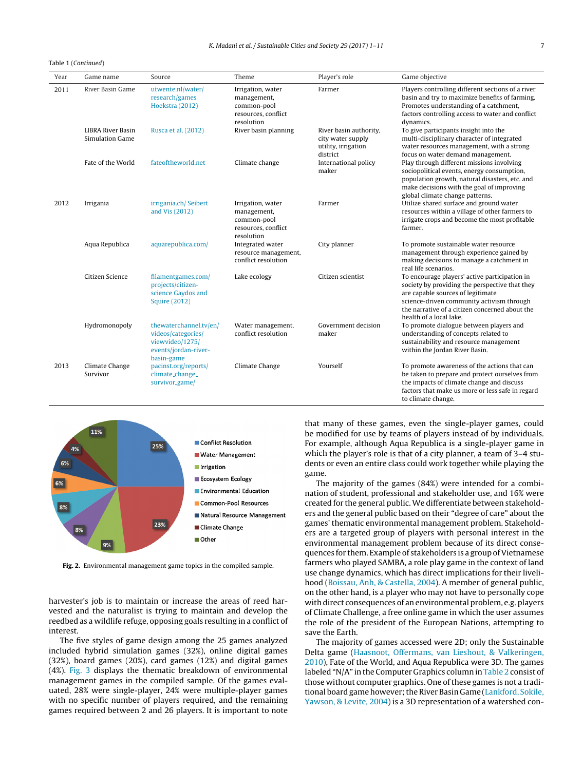K. Madani et al. / Sustainable Cities and Society 29 (2017) 1-11

#### <span id="page-6-0"></span>Table 1 (Continued)

| Year | Game name                                   | Source                                                                                                | Theme                                                                                | Player's role                                                                  | Game objective                                                                                                                                                                                                                                                 |
|------|---------------------------------------------|-------------------------------------------------------------------------------------------------------|--------------------------------------------------------------------------------------|--------------------------------------------------------------------------------|----------------------------------------------------------------------------------------------------------------------------------------------------------------------------------------------------------------------------------------------------------------|
| 2011 | River Basin Game                            | utwente.nl/water/<br>research/games<br>Hoekstra (2012)                                                | Irrigation, water<br>management,<br>common-pool<br>resources, conflict<br>resolution | Farmer                                                                         | Players controlling different sections of a river<br>basin and try to maximize benefits of farming.<br>Promotes understanding of a catchment,<br>factors controlling access to water and conflict<br>dynamics.                                                 |
|      | <b>LIBRA River Basin</b><br>Simulation Game | Rusca et al. (2012)                                                                                   | River basin planning                                                                 | River basin authority,<br>city water supply<br>utility, irrigation<br>district | To give participants insight into the<br>multi-disciplinary character of integrated<br>water resources management, with a strong<br>focus on water demand management.                                                                                          |
|      | Fate of the World                           | fateoftheworld.net                                                                                    | Climate change                                                                       | International policy<br>maker                                                  | Play through different missions involving<br>sociopolitical events, energy consumption,<br>population growth, natural disasters, etc. and<br>make decisions with the goal of improving<br>global climate change patterns.                                      |
| 2012 | Irrigania                                   | irrigania.ch/Seibert<br>and Vis (2012)                                                                | Irrigation, water<br>management,<br>common-pool<br>resources, conflict<br>resolution | Farmer                                                                         | Utilize shared surface and ground water<br>resources within a village of other farmers to<br>irrigate crops and become the most profitable<br>farmer.                                                                                                          |
|      | Aqua Republica                              | aquarepublica.com/                                                                                    | Integrated water<br>resource management,<br>conflict resolution                      | City planner                                                                   | To promote sustainable water resource<br>management through experience gained by<br>making decisions to manage a catchment in<br>real life scenarios.                                                                                                          |
|      | Citizen Science                             | filamentgames.com/<br>projects/citizen-<br>science Gaydos and<br><b>Squire (2012)</b>                 | Lake ecology                                                                         | Citizen scientist                                                              | To encourage players' active participation in<br>society by providing the perspective that they<br>are capable sources of legitimate<br>science-driven community activism through<br>the narrative of a citizen concerned about the<br>health of a local lake. |
|      | Hydromonopoly                               | thewaterchannel.tv/en/<br>videos/categories/<br>viewvideo/1275/<br>events/jordan-river-<br>basin-game | Water management,<br>conflict resolution                                             | Government decision<br>maker                                                   | To promote dialogue between players and<br>understanding of concepts related to<br>sustainability and resource management<br>within the Jordan River Basin.                                                                                                    |
| 2013 | Climate Change<br>Survivor                  | pacinst.org/reports/<br>climate_change_<br>survivor_game/                                             | Climate Change                                                                       | Yourself                                                                       | To promote awareness of the actions that can<br>be taken to prepare and protect ourselves from<br>the impacts of climate change and discuss<br>factors that make us more or less safe in regard<br>to climate change.                                          |



**Fig. 2.** Environmental management game topics in the compiled sample.

harvester's job is to maintain or increase the areas of reed harvested and the naturalist is trying to maintain and develop the reedbed as a wildlife refuge, opposing goals resulting in a conflict of interest.

The five styles of game design among the 25 games analyzed included hybrid simulation games (32%), online digital games (32%), board games (20%), card games (12%) and digital games (4%). [Fig.](#page-7-0) 3 displays the thematic breakdown of environmental management games in the compiled sample. Of the games evaluated, 28% were single-player, 24% were multiple-player games with no specific number of players required, and the remaining games required between 2 and 26 players. It is important to note that many of these games, even the single-player games, could be modified for use by teams of players instead of by individuals. For example, although Aqua Republica is a single-player game in which the player's role is that of a city planner, a team of 3–4 students or even an entire class could work together while playing the game.

The majority of the games (84%) were intended for a combination of student, professional and stakeholder use, and 16% were created for the general public. We differentiate between stakeholders and the general public based on their "degree of care" about the games' thematic environmental management problem. Stakeholders are a targeted group of players with personal interest in the environmental management problem because of its direct consequences for them. Example of stakeholders is a group ofVietnamese farmers who played SAMBA, a role play game in the context of land use change dynamics, which has direct implications for their livelihood ([Boissau,](#page-9-0) [Anh,](#page-9-0) [&](#page-9-0) [Castella,](#page-9-0) [2004\).](#page-9-0) A member of general public, on the other hand, is a player who may not have to personally cope with direct consequences of an environmental problem, e.g. players of Climate Challenge, a free online game in which the user assumes the role of the president of the European Nations, attempting to save the Earth.

The majority of games accessed were 2D; only the Sustainable Delta game ([Haasnoot,](#page-9-0) [Offermans,](#page-9-0) [van](#page-9-0) [Lieshout,](#page-9-0) [&](#page-9-0) [Valkeringen,](#page-9-0) [2010\),](#page-9-0) Fate of the World, and Aqua Republica were 3D. The games labeled "N/A" in the Computer Graphics column in [Table](#page-7-0) 2 consist of those without computer graphics. One of these games is not a tradi-tional board game however; the River Basin Game ([Lankford,](#page-9-0) [Sokile,](#page-9-0) [Yawson,](#page-9-0) [&](#page-9-0) [Levite,](#page-9-0) [2004\)](#page-9-0) is a 3D representation of a watershed con-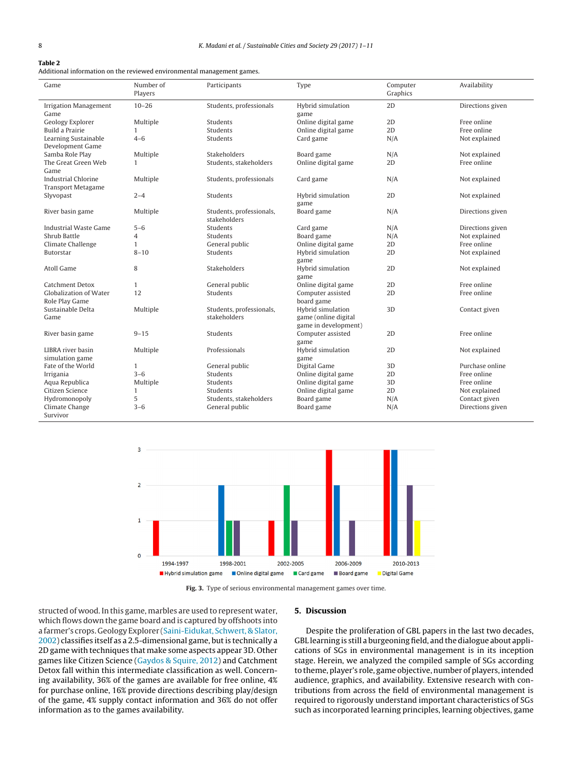# <span id="page-7-0"></span>**Table 2**

Additional information on the reviewed environmental management games.

| Game                                                    | Number of<br>Players | Participants                             | Type                                                              | Computer<br>Graphics | Availability     |
|---------------------------------------------------------|----------------------|------------------------------------------|-------------------------------------------------------------------|----------------------|------------------|
| <b>Irrigation Management</b><br>Game                    | $10 - 26$            | Students, professionals                  | Hybrid simulation<br>game                                         | 2D                   | Directions given |
| Geology Explorer                                        | Multiple             | Students                                 | Online digital game                                               | 2D                   | Free online      |
| Build a Prairie                                         | $\mathbf{1}$         | Students                                 | Online digital game                                               | 2D                   | Free online      |
| Learning Sustainable<br>Development Game                | $4 - 6$              | Students                                 | Card game                                                         | N/A                  | Not explained    |
| Samba Role Play                                         | Multiple             | <b>Stakeholders</b>                      | Board game                                                        | N/A                  | Not explained    |
| The Great Green Web<br>Game                             | $\mathbf{1}$         | Students, stakeholders                   | Online digital game                                               | 2D                   | Free online      |
| <b>Industrial Chlorine</b><br><b>Transport Metagame</b> | Multiple             | Students, professionals                  | Card game                                                         | N/A                  | Not explained    |
| Slyvopast                                               | $2 - 4$              | Students                                 | Hybrid simulation<br>game                                         | 2D                   | Not explained    |
| River basin game                                        | Multiple             | Students, professionals,<br>stakeholders | Board game                                                        | N/A                  | Directions given |
| Industrial Waste Game                                   | $5 - 6$              | Students                                 | Card game                                                         | N/A                  | Directions given |
| Shrub Battle                                            | 4                    | Students                                 | Board game                                                        | N/A                  | Not explained    |
| Climate Challenge                                       | $\mathbf{1}$         | General public                           | Online digital game                                               | 2D                   | Free online      |
| <b>Butorstar</b>                                        | $8 - 10$             | Students                                 | Hybrid simulation<br>game                                         | 2D                   | Not explained    |
| Atoll Game                                              | 8                    | Stakeholders                             | Hybrid simulation<br>game                                         | 2D                   | Not explained    |
| <b>Catchment Detox</b>                                  | 1                    | General public                           | Online digital game                                               | 2D                   | Free online      |
| Globalization of Water<br>Role Play Game                | 12                   | Students                                 | Computer assisted<br>board game                                   | 2D                   | Free online      |
| Sustainable Delta<br>Game                               | Multiple             | Students, professionals,<br>stakeholders | Hybrid simulation<br>game (online digital<br>game in development) | 3D                   | Contact given    |
| River basin game                                        | $9 - 15$             | Students                                 | Computer assisted<br>game                                         | 2D                   | Free online      |
| LIBRA river basin<br>simulation game                    | Multiple             | Professionals                            | Hybrid simulation<br>game                                         | 2D                   | Not explained    |
| Fate of the World                                       | 1                    | General public                           | Digital Game                                                      | 3D                   | Purchase online  |
| Irrigania                                               | $3 - 6$              | Students                                 | Online digital game                                               | 2D                   | Free online      |
| Aqua Republica                                          | Multiple             | Students                                 | Online digital game                                               | 3D                   | Free online      |
| Citizen Science                                         | $\mathbf{1}$         | Students                                 | Online digital game                                               | 2D                   | Not explained    |
| Hydromonopoly                                           | 5                    | Students, stakeholders                   | Board game                                                        | N/A                  | Contact given    |
| Climate Change<br>Survivor                              | $3 - 6$              | General public                           | Board game                                                        | N/A                  | Directions given |



**Fig. 3.** Type of serious environmental management games over time.

structed of wood. In this game, marbles are used to represent water, which flows down the game board and is captured by offshoots into a farmer's crops. Geology Explorer [\(Saini-Eidukat,](#page-10-0) [Schwert,](#page-10-0) [&](#page-10-0) [Slator,](#page-10-0) [2002\)](#page-10-0) classifies itself as a 2.5-dimensional game, but is technically a 2D game with techniques that make some aspects appear 3D. Other games like Citizen Science [\(Gaydos](#page-9-0) [&](#page-9-0) [Squire,](#page-9-0) [2012\)](#page-9-0) and Catchment Detox fall within this intermediate classification as well. Concerning availability, 36% of the games are available for free online, 4% for purchase online, 16% provide directions describing play/design of the game, 4% supply contact information and 36% do not offer information as to the games availability.

#### **5. Discussion**

Despite the proliferation of GBL papers in the last two decades, GBL learning is still a burgeoning field, and the dialogue about applications of SGs in environmental management is in its inception stage. Herein, we analyzed the compiled sample of SGs according to theme, player's role, game objective, number of players, intended audience, graphics, and availability. Extensive research with contributions from across the field of environmental management is required to rigorously understand important characteristics of SGs such as incorporated learning principles, learning objectives, game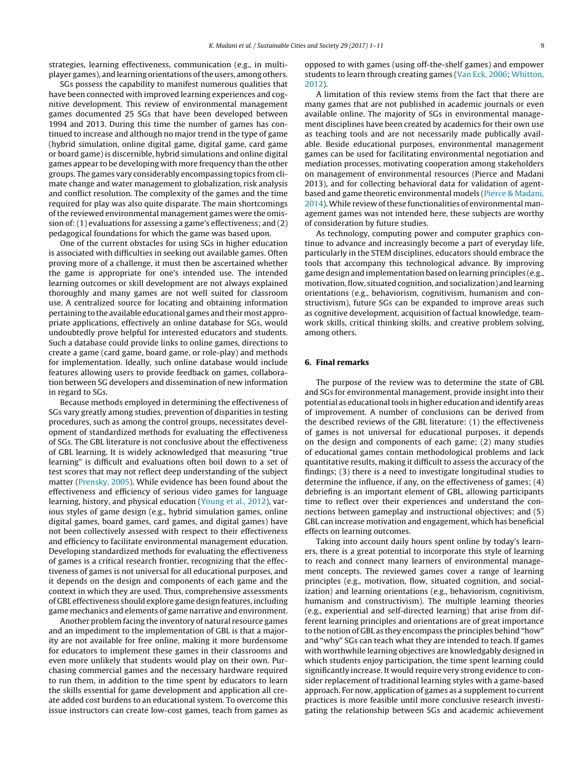strategies, learning effectiveness, communication (e.g., in multiplayer games), and learning orientations ofthe users, among others.

SGs possess the capability to manifest numerous qualities that have been connected with improved learning experiences and cognitive development. This review of environmental management games documented 25 SGs that have been developed between 1994 and 2013. During this time the number of games has continued to increase and although no major trend in the type of game (hybrid simulation, online digital game, digital game, card game or board game) is discernible, hybrid simulations and online digital games appear to be developing with more frequency than the other groups. The games vary considerably encompassing topics from climate change and water management to globalization, risk analysis and conflict resolution. The complexity of the games and the time required for play was also quite disparate. The main shortcomings ofthe reviewed environmental management games were the omission of: (1) evaluations for assessing a game's effectiveness; and (2) pedagogical foundations for which the game was based upon.

One of the current obstacles for using SGs in higher education is associated with difficulties in seeking out available games. Often proving more of a challenge, it must then be ascertained whether the game is appropriate for one's intended use. The intended learning outcomes or skill development are not always explained thoroughly and many games are not well suited for classroom use. A centralized source for locating and obtaining information pertaining to the available educational games and their most appropriate applications, effectively an online database for SGs, would undoubtedly prove helpful for interested educators and students. Such a database could provide links to online games, directions to create a game (card game, board game, or role-play) and methods for implementation. Ideally, such online database would include features allowing users to provide feedback on games, collaboration between SG developers and dissemination of new information in regard to SGs.

Because methods employed in determining the effectiveness of SGs vary greatly among studies, prevention of disparities in testing procedures, such as among the control groups, necessitates development of standardized methods for evaluating the effectiveness of SGs. The GBL literature is not conclusive about the effectiveness of GBL learning. It is widely acknowledged that measuring "true learning" is difficult and evaluations often boil down to a set of test scores that may not reflect deep understanding of the subject matter [\(Prensky,](#page-10-0) [2005\).](#page-10-0) While evidence has been found about the effectiveness and efficiency of serious video games for language learning, history, and physical education [\(Young](#page-10-0) et [al.,](#page-10-0) [2012\),](#page-10-0) various styles of game design (e.g., hybrid simulation games, online digital games, board games, card games, and digital games) have not been collectively assessed with respect to their effectiveness and efficiency to facilitate environmental management education. Developing standardized methods for evaluating the effectiveness of games is a critical research frontier, recognizing that the effectiveness of games is not universal for all educational purposes, and it depends on the design and components of each game and the context in which they are used. Thus, comprehensive assessments of GBL effectiveness should explore game design features, including game mechanics and elements of game narrative and environment.

Another problem facing the inventory of natural resource games and an impediment to the implementation of GBL is that a majority are not available for free online, making it more burdensome for educators to implement these games in their classrooms and even more unlikely that students would play on their own. Purchasing commercial games and the necessary hardware required to run them, in addition to the time spent by educators to learn the skills essential for game development and application all create added cost burdens to an educational system. To overcome this issue instructors can create low-cost games, teach from games as opposed to with games (using off-the-shelf games) and empower students to learn through creating games [\(Van](#page-10-0) [Eck,](#page-10-0) [2006;](#page-10-0) [Whitton,](#page-10-0) [2012\).](#page-10-0)

A limitation of this review stems from the fact that there are many games that are not published in academic journals or even available online. The majority of SGs in environmental management disciplines have been created by academics for their own use as teaching tools and are not necessarily made publically available. Beside educational purposes, environmental management games can be used for facilitating environmental negotiation and mediation processes, motivating cooperation among stakeholders on management of environmental resources (Pierce and Madani 2013), and for collecting behavioral data for validation of agentbased and game theoretic environmental models ([Pierce](#page-10-0) [&](#page-10-0) [Madani,](#page-10-0) [2014\).](#page-10-0) While review of these functionalities of environmental management games was not intended here, these subjects are worthy of consideration by future studies.

As technology, computing power and computer graphics continue to advance and increasingly become a part of everyday life, particularly in the STEM disciplines, educators should embrace the tools that accompany this technological advance. By improving game design and implementation based on learning principles (e.g., motivation,flow, situated cognition, and socialization) and learning orientations (e.g., behaviorism, cognitivism, humanism and constructivism), future SGs can be expanded to improve areas such as cognitive development, acquisition of factual knowledge, teamwork skills, critical thinking skills, and creative problem solving, among others.

#### **6. Final remarks**

The purpose of the review was to determine the state of GBL and SGs for environmental management, provide insight into their potential as educational tools in higher education and identify areas of improvement. A number of conclusions can be derived from the described reviews of the GBL literature: (1) the effectiveness of games is not universal for educational purposes, it depends on the design and components of each game; (2) many studies of educational games contain methodological problems and lack quantitative results, making it difficult to assess the accuracy of the findings; (3) there is a need to investigate longitudinal studies to determine the influence, if any, on the effectiveness of games; (4) debriefing is an important element of GBL, allowing participants time to reflect over their experiences and understand the connections between gameplay and instructional objectives; and (5) GBL can increase motivation and engagement, which has beneficial effects on learning outcomes.

Taking into account daily hours spent online by today's learners, there is a great potential to incorporate this style of learning to reach and connect many learners of environmental management concepts. The reviewed games cover a range of learning principles (e.g., motivation, flow, situated cognition, and socialization) and learning orientations (e.g., behaviorism, cognitivism, humanism and constructivism). The multiple learning theories (e.g., experiential and self-directed learning) that arise from different learning principles and orientations are of great importance to the notion of GBL as they encompass the principles behind "how" and "why" SGs can teach what they are intended to teach. If games with worthwhile learning objectives are knowledgably designed in which students enjoy participation, the time spent learning could significantly increase. It would require very strong evidence to consider replacement of traditional learning styles with a game-based approach. For now, application of games as a supplement to current practices is more feasible until more conclusive research investigating the relationship between SGs and academic achievement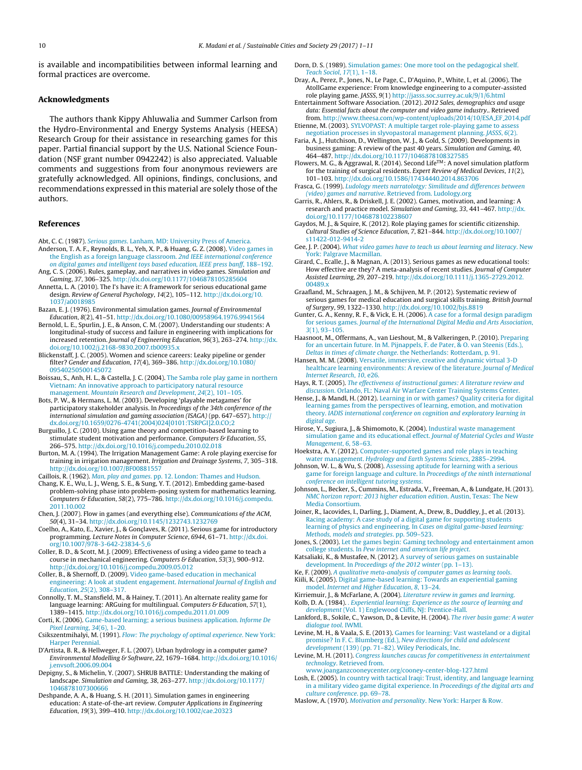<span id="page-9-0"></span>is available and incompatibilities between informal learning and formal practices are overcome.

### **Acknowledgments**

The authors thank Kippy Ahluwalia and Summer Carlson from the Hydro-Environmental and Energy Systems Analysis (HEESA) Research Group for their assistance in researching games for this paper. Partial financial support by the U.S. National Science Foundation (NSF grant number 0942242) is also appreciated. Valuable comments and suggestions from four anonymous reviewers are gratefully acknowledged. All opinions, findings, conclusions, and recommendations expressed in this material are solely those of the authors.

#### **References**

- Abt, C. C. (1987). [Serious](http://refhub.elsevier.com/S2210-6707(16)30183-4/sbref0005) [games](http://refhub.elsevier.com/S2210-6707(16)30183-4/sbref0005)[.](http://refhub.elsevier.com/S2210-6707(16)30183-4/sbref0005) [Lanham,](http://refhub.elsevier.com/S2210-6707(16)30183-4/sbref0005) [MD:](http://refhub.elsevier.com/S2210-6707(16)30183-4/sbref0005) [University](http://refhub.elsevier.com/S2210-6707(16)30183-4/sbref0005) [Press](http://refhub.elsevier.com/S2210-6707(16)30183-4/sbref0005) [of](http://refhub.elsevier.com/S2210-6707(16)30183-4/sbref0005) [America.](http://refhub.elsevier.com/S2210-6707(16)30183-4/sbref0005) Anderson, T. A. F., Reynolds, B. L., Yeh, X. P., & Huang, G. Z. (2008). [Video](http://refhub.elsevier.com/S2210-6707(16)30183-4/sbref0010) [games](http://refhub.elsevier.com/S2210-6707(16)30183-4/sbref0010) [in](http://refhub.elsevier.com/S2210-6707(16)30183-4/sbref0010) [the](http://refhub.elsevier.com/S2210-6707(16)30183-4/sbref0010) [English](http://refhub.elsevier.com/S2210-6707(16)30183-4/sbref0010) [as](http://refhub.elsevier.com/S2210-6707(16)30183-4/sbref0010) [a](http://refhub.elsevier.com/S2210-6707(16)30183-4/sbref0010) [foreign](http://refhub.elsevier.com/S2210-6707(16)30183-4/sbref0010) [language](http://refhub.elsevier.com/S2210-6707(16)30183-4/sbref0010) [classroom.](http://refhub.elsevier.com/S2210-6707(16)30183-4/sbref0010) [2nd](http://refhub.elsevier.com/S2210-6707(16)30183-4/sbref0010) [IEEE](http://refhub.elsevier.com/S2210-6707(16)30183-4/sbref0010) [international](http://refhub.elsevier.com/S2210-6707(16)30183-4/sbref0010) [conference](http://refhub.elsevier.com/S2210-6707(16)30183-4/sbref0010) [on](http://refhub.elsevier.com/S2210-6707(16)30183-4/sbref0010) [digital](http://refhub.elsevier.com/S2210-6707(16)30183-4/sbref0010) [games](http://refhub.elsevier.com/S2210-6707(16)30183-4/sbref0010) [and](http://refhub.elsevier.com/S2210-6707(16)30183-4/sbref0010) [intelligent](http://refhub.elsevier.com/S2210-6707(16)30183-4/sbref0010) [toys](http://refhub.elsevier.com/S2210-6707(16)30183-4/sbref0010) [based](http://refhub.elsevier.com/S2210-6707(16)30183-4/sbref0010) [education,](http://refhub.elsevier.com/S2210-6707(16)30183-4/sbref0010) [IEEE](http://refhub.elsevier.com/S2210-6707(16)30183-4/sbref0010) [press](http://refhub.elsevier.com/S2210-6707(16)30183-4/sbref0010) [banff](http://refhub.elsevier.com/S2210-6707(16)30183-4/sbref0010), [188–192.](http://refhub.elsevier.com/S2210-6707(16)30183-4/sbref0010)
- Ang, C. S. (2006). Rules, gameplay, and narratives in video games. Simulation and Gaming, 37, 306–325. [http://dx.doi.org/10.1177/1046878105285604](dx.doi.org/10.1177/1046878105285604) Annetta, L. A. (2010). The I's have it: A framework for serious educational game
- design. Review of General Psychology, 14(2), 105–112. [http://dx.doi.org/10.](dx.doi.org/10.1037/a0018985) [1037/a0018985](dx.doi.org/10.1037/a0018985)
- Bazan, E. J. (1976). Environmental simulation games. Journal of Environmental Education, 8(2), 41–51. [http://dx.doi.org/10.1080/00958964.1976.9941564](dx.doi.org/10.1080/00958964.1976.9941564)
- Bernold, L. E., Spurlin, J. E., & Anson, C. M. (2007). Understanding our students: A longitudinal-study of success and failure in engineering with implications for increased retention. Journal of Engineering Education, 96(3), 263–274. [http://dx.](dx.doi.org/10.1002/j.2168-9830.2007.tb00935.x) [doi.org/10.1002/j.2168-9830.2007.tb00935.x](dx.doi.org/10.1002/j.2168-9830.2007.tb00935.x)
- Blickenstaff, J. C. (2005). Women and science careers: Leaky pipeline or gender filter? Gender and Education, 17(4), 369–386. [http://dx.doi.org/10.1080/](dx.doi.org/10.1080/09540250500145072) [09540250500145072](dx.doi.org/10.1080/09540250500145072)
- Boissau, S., Anh, H. L., & Castella, J. C. (2004). [The](http://refhub.elsevier.com/S2210-6707(16)30183-4/sbref0040) [Samba](http://refhub.elsevier.com/S2210-6707(16)30183-4/sbref0040) [role](http://refhub.elsevier.com/S2210-6707(16)30183-4/sbref0040) [play](http://refhub.elsevier.com/S2210-6707(16)30183-4/sbref0040) [game](http://refhub.elsevier.com/S2210-6707(16)30183-4/sbref0040) [in](http://refhub.elsevier.com/S2210-6707(16)30183-4/sbref0040) [northern](http://refhub.elsevier.com/S2210-6707(16)30183-4/sbref0040) [Vietnam:](http://refhub.elsevier.com/S2210-6707(16)30183-4/sbref0040) [An](http://refhub.elsevier.com/S2210-6707(16)30183-4/sbref0040) [innovative](http://refhub.elsevier.com/S2210-6707(16)30183-4/sbref0040) [approach](http://refhub.elsevier.com/S2210-6707(16)30183-4/sbref0040) [to](http://refhub.elsevier.com/S2210-6707(16)30183-4/sbref0040) [participatory](http://refhub.elsevier.com/S2210-6707(16)30183-4/sbref0040) [natural](http://refhub.elsevier.com/S2210-6707(16)30183-4/sbref0040) [resource](http://refhub.elsevier.com/S2210-6707(16)30183-4/sbref0040) [management.](http://refhub.elsevier.com/S2210-6707(16)30183-4/sbref0040) [Mountain](http://refhub.elsevier.com/S2210-6707(16)30183-4/sbref0040) [Research](http://refhub.elsevier.com/S2210-6707(16)30183-4/sbref0040) [and](http://refhub.elsevier.com/S2210-6707(16)30183-4/sbref0040) [Development](http://refhub.elsevier.com/S2210-6707(16)30183-4/sbref0040)[,](http://refhub.elsevier.com/S2210-6707(16)30183-4/sbref0040) [24](http://refhub.elsevier.com/S2210-6707(16)30183-4/sbref0040)[\(2\),](http://refhub.elsevier.com/S2210-6707(16)30183-4/sbref0040) [101](http://refhub.elsevier.com/S2210-6707(16)30183-4/sbref0040)-[105.](http://refhub.elsevier.com/S2210-6707(16)30183-4/sbref0040)
- Bots, P. W., & Hermans, L. M. (2003). Developing 'playable metagames' for participatory stakeholder analysis. In Proceedings of the 34th conference of the international simulation and gaming association (ISAGA) (pp. 647–657). [http://](dx.doi.org/10.1659/0276-4741(2004)024[0101:TSRPGI]2.0.CO;2) [dx.doi.org/10.1659/0276-4741\(2004\)024\[0101:TSRPGI\]2.0.CO;2](dx.doi.org/10.1659/0276-4741(2004)024[0101:TSRPGI]2.0.CO;2)
- Burguillo, J. C. (2010). Using game theory and competition-based learning to stimulate student motivation and performance. Computers & Education, 55, 266–575. [http://dx.doi.org/10.1016/j.compedu.2010.02.018](dx.doi.org/10.1016/j.compedu.2010.02.018)
- Burton, M. A. (1994). The Irrigation Management Game: A role playing exercise for training in irrigation management. Irrigation and Drainage Systems, 7, 305–318. [http://dx.doi.org/10.1007/BF00881557](dx.doi.org/10.1007/BF00881557)
- Caillois, R[.](http://refhub.elsevier.com/S2210-6707(16)30183-4/sbref0060) (1962). *[Man,](http://refhub.elsevier.com/S2210-6707(16)30183-4/sbref0060) [play](http://refhub.elsevier.com/S2210-6707(16)30183-4/sbref0060) [and](http://refhub.elsevier.com/S2210-6707(16)30183-4/sbref0060) [games](http://refhub.elsevier.com/S2210-6707(16)30183-4/sbref0060).* [pp.](http://refhub.elsevier.com/S2210-6707(16)30183-4/sbref0060) [12.](http://refhub.elsevier.com/S2210-6707(16)30183-4/sbref0060) [London:](http://refhub.elsevier.com/S2210-6707(16)30183-4/sbref0060) [Thames](http://refhub.elsevier.com/S2210-6707(16)30183-4/sbref0060) and [Hudson.](http://refhub.elsevier.com/S2210-6707(16)30183-4/sbref0060)<br>Chang, K. E., Wu, L. J., Weng, S. E., & Sung, Y. T. (2012). Embedding game-based
- problem-solving phase into problem-posing system for mathematics learning. Computers & Education, 58(2), 775–786. [http://dx.doi.org/10.1016/j.compedu.](dx.doi.org/10.1016/j.compedu.2011.10.002) [2011.10.002](dx.doi.org/10.1016/j.compedu.2011.10.002)
- Chen, J. (2007). Flow in games (and everything else). Communications of the ACM, 50(4), 31–34. [http://dx.doi.org/10.1145/1232743.1232769](dx.doi.org/10.1145/1232743.1232769)
- Coelho, A., Kato, E., Xavier, J., & Gonclaves, R. (2011). Serious game for introductory programming. Lecture Notes in Computer Science, 6944, 61–71. [http://dx.doi.](dx.doi.org/10.1007/978-3-642-23834-5_6) [org/10.1007/978-3-642-23834-5](dx.doi.org/10.1007/978-3-642-23834-5_6) [6](dx.doi.org/10.1007/978-3-642-23834-5_6)
- Coller, B. D., & Scott, M. J. (2009). Effectiveness of using a video game to teach a course in mechanical engineering. Computers & Education, 53(3), 900-912. [http://dx.doi.org/10.1016/j.compedu.2009.05.012](dx.doi.org/10.1016/j.compedu.2009.05.012)
- Coller, B., & Shernoff, D. (2009). [Video](http://refhub.elsevier.com/S2210-6707(16)30183-4/sbref0085) [game-based](http://refhub.elsevier.com/S2210-6707(16)30183-4/sbref0085) [education](http://refhub.elsevier.com/S2210-6707(16)30183-4/sbref0085) [in](http://refhub.elsevier.com/S2210-6707(16)30183-4/sbref0085) [mechanical](http://refhub.elsevier.com/S2210-6707(16)30183-4/sbref0085) [engineering:](http://refhub.elsevier.com/S2210-6707(16)30183-4/sbref0085) [A](http://refhub.elsevier.com/S2210-6707(16)30183-4/sbref0085) [look](http://refhub.elsevier.com/S2210-6707(16)30183-4/sbref0085) [at](http://refhub.elsevier.com/S2210-6707(16)30183-4/sbref0085) [student](http://refhub.elsevier.com/S2210-6707(16)30183-4/sbref0085) [engagement.](http://refhub.elsevier.com/S2210-6707(16)30183-4/sbref0085) [International](http://refhub.elsevier.com/S2210-6707(16)30183-4/sbref0085) [Journal](http://refhub.elsevier.com/S2210-6707(16)30183-4/sbref0085) [of](http://refhub.elsevier.com/S2210-6707(16)30183-4/sbref0085) [English](http://refhub.elsevier.com/S2210-6707(16)30183-4/sbref0085) [and](http://refhub.elsevier.com/S2210-6707(16)30183-4/sbref0085) [Education](http://refhub.elsevier.com/S2210-6707(16)30183-4/sbref0085)[,](http://refhub.elsevier.com/S2210-6707(16)30183-4/sbref0085) [25](http://refhub.elsevier.com/S2210-6707(16)30183-4/sbref0085)[\(2\),](http://refhub.elsevier.com/S2210-6707(16)30183-4/sbref0085) [308–317.](http://refhub.elsevier.com/S2210-6707(16)30183-4/sbref0085)
- Connolly, T. M., Stansfield, M., & Hainey, T. (2011). An alternate reality game for language learning: ARGuing for multilingual. Computers & Education, 57(1), 1389–1415. [http://dx.doi.org/10.1016/j.compedu.2011.01.009](dx.doi.org/10.1016/j.compedu.2011.01.009)
- Corti, K. (2006). [Game-based](http://refhub.elsevier.com/S2210-6707(16)30183-4/sbref0095) [learning;](http://refhub.elsevier.com/S2210-6707(16)30183-4/sbref0095) [a](http://refhub.elsevier.com/S2210-6707(16)30183-4/sbref0095) [serious](http://refhub.elsevier.com/S2210-6707(16)30183-4/sbref0095) [business](http://refhub.elsevier.com/S2210-6707(16)30183-4/sbref0095) [application.](http://refhub.elsevier.com/S2210-6707(16)30183-4/sbref0095) [Informe](http://refhub.elsevier.com/S2210-6707(16)30183-4/sbref0095) [De](http://refhub.elsevier.com/S2210-6707(16)30183-4/sbref0095) [Pixel](http://refhub.elsevier.com/S2210-6707(16)30183-4/sbref0095) [Learning](http://refhub.elsevier.com/S2210-6707(16)30183-4/sbref0095)[,](http://refhub.elsevier.com/S2210-6707(16)30183-4/sbref0095) [34](http://refhub.elsevier.com/S2210-6707(16)30183-4/sbref0095)[\(6\),](http://refhub.elsevier.com/S2210-6707(16)30183-4/sbref0095) [1–20.](http://refhub.elsevier.com/S2210-6707(16)30183-4/sbref0095)
- Csikszentmihalyi, M. (1991). [Flow:](http://refhub.elsevier.com/S2210-6707(16)30183-4/sbref0100) [The](http://refhub.elsevier.com/S2210-6707(16)30183-4/sbref0100) [psychology](http://refhub.elsevier.com/S2210-6707(16)30183-4/sbref0100) [of](http://refhub.elsevier.com/S2210-6707(16)30183-4/sbref0100) [optimal](http://refhub.elsevier.com/S2210-6707(16)30183-4/sbref0100) [experience](http://refhub.elsevier.com/S2210-6707(16)30183-4/sbref0100)[.](http://refhub.elsevier.com/S2210-6707(16)30183-4/sbref0100) [New](http://refhub.elsevier.com/S2210-6707(16)30183-4/sbref0100) [York:](http://refhub.elsevier.com/S2210-6707(16)30183-4/sbref0100) [Harper](http://refhub.elsevier.com/S2210-6707(16)30183-4/sbref0100) [Perennial.](http://refhub.elsevier.com/S2210-6707(16)30183-4/sbref0100)
- D'Artista, B. R., & Hellweger, F. L. (2007). Urban hydrology in a computer game? Environmental Modelling & Software, 22, 1679–1684. [http://dx.doi.org/10.1016/](dx.doi.org/10.1016/j.envsoft.2006.09.004) [j.envsoft.2006.09.004](dx.doi.org/10.1016/j.envsoft.2006.09.004)
- Depigny, S., & Michelin, Y. (2007). SHRUB BATTLE: Understanding the making of landscape. Simulation and Gaming, 38, 263-277. http://dx.doi.org/10.117 [1046878107300666](dx.doi.org/10.1177/1046878107300666)
- Deshpande, A. A., & Huang, S. H. (2011). Simulation games in engineering education: A state-of-the-art review. Computer Applications in Engineering Education, 19(3), 399–410. [http://dx.doi.org/10.1002/cae.20323](dx.doi.org/10.1002/cae.20323)
- Dorn, D. S. (1989). [Simulation](http://refhub.elsevier.com/S2210-6707(16)30183-4/sbref0120) [games:](http://refhub.elsevier.com/S2210-6707(16)30183-4/sbref0120) [One](http://refhub.elsevier.com/S2210-6707(16)30183-4/sbref0120) [more](http://refhub.elsevier.com/S2210-6707(16)30183-4/sbref0120) [tool](http://refhub.elsevier.com/S2210-6707(16)30183-4/sbref0120) [on](http://refhub.elsevier.com/S2210-6707(16)30183-4/sbref0120) [the](http://refhub.elsevier.com/S2210-6707(16)30183-4/sbref0120) [pedagogical](http://refhub.elsevier.com/S2210-6707(16)30183-4/sbref0120) [shelf.](http://refhub.elsevier.com/S2210-6707(16)30183-4/sbref0120) [Teach](http://refhub.elsevier.com/S2210-6707(16)30183-4/sbref0120) [Sociol](http://refhub.elsevier.com/S2210-6707(16)30183-4/sbref0120)[,](http://refhub.elsevier.com/S2210-6707(16)30183-4/sbref0120) [17](http://refhub.elsevier.com/S2210-6707(16)30183-4/sbref0120)[\(1\),](http://refhub.elsevier.com/S2210-6707(16)30183-4/sbref0120) [1](http://refhub.elsevier.com/S2210-6707(16)30183-4/sbref0120)–[18.](http://refhub.elsevier.com/S2210-6707(16)30183-4/sbref0120)
- Dray, A., Perez, P., Jones, N., Le Page, C., D'Aquino, P., White, I., et al. (2006). The AtollGame experience: From knowledge engineering to a computer-assisted role playing game. JASSS, 9(1) <http://jasss.soc.surrey.ac.uk/9/1/6.html>
- Entertainment Software Association. (2012). 2012 Sales, demographics and usage data: Essential facts about the computer and video game industry.. Retrieved from. [http://www.theesa.com/wp-content/uploads/2014/10/ESA](http://www.theesa.com/wp-content/uploads/2014/10/ESA_EF_2014.pdf) [EF](http://www.theesa.com/wp-content/uploads/2014/10/ESA_EF_2014.pdf) [2014.pdf](http://www.theesa.com/wp-content/uploads/2014/10/ESA_EF_2014.pdf)
- Etienne, M. (2003). [SYLVOPAST:](http://refhub.elsevier.com/S2210-6707(16)30183-4/sbref0135) [A](http://refhub.elsevier.com/S2210-6707(16)30183-4/sbref0135) [multiple](http://refhub.elsevier.com/S2210-6707(16)30183-4/sbref0135) [target](http://refhub.elsevier.com/S2210-6707(16)30183-4/sbref0135) [role-playing](http://refhub.elsevier.com/S2210-6707(16)30183-4/sbref0135) [game](http://refhub.elsevier.com/S2210-6707(16)30183-4/sbref0135) [to](http://refhub.elsevier.com/S2210-6707(16)30183-4/sbref0135) [assess](http://refhub.elsevier.com/S2210-6707(16)30183-4/sbref0135) [negotiation](http://refhub.elsevier.com/S2210-6707(16)30183-4/sbref0135) [processes](http://refhub.elsevier.com/S2210-6707(16)30183-4/sbref0135) [in](http://refhub.elsevier.com/S2210-6707(16)30183-4/sbref0135) [slyvopastoral](http://refhub.elsevier.com/S2210-6707(16)30183-4/sbref0135) [management](http://refhub.elsevier.com/S2210-6707(16)30183-4/sbref0135) [planning.](http://refhub.elsevier.com/S2210-6707(16)30183-4/sbref0135) [JASSS](http://refhub.elsevier.com/S2210-6707(16)30183-4/sbref0135)[,](http://refhub.elsevier.com/S2210-6707(16)30183-4/sbref0135) [6](http://refhub.elsevier.com/S2210-6707(16)30183-4/sbref0135)[\(2\).](http://refhub.elsevier.com/S2210-6707(16)30183-4/sbref0135)
- Faria, A. J., Hutchison, D., Wellington, W. J., & Gold, S. (2009). Developments in business gaming: A review of the past 40 years. Simulation and Gaming, 40, 464–487. [http://dx.doi.org/10.1177/1046878108327585](dx.doi.org/10.1177/1046878108327585)
- Flowers, M. G., & Aggrawal, R. (2014). Second LifeTM: A novel simulation platform for the training of surgical residents. Expert Review of Medical Devices, 11(2), 101–103. [http://dx.doi.org/10.1586/17434440.2014.863706](dx.doi.org/10.1586/17434440.2014.863706)
- Frasca, G. (1999). [Ludology](http://refhub.elsevier.com/S2210-6707(16)30183-4/sbref0150) [meets](http://refhub.elsevier.com/S2210-6707(16)30183-4/sbref0150) [narratolotgy:](http://refhub.elsevier.com/S2210-6707(16)30183-4/sbref0150) [Similitude](http://refhub.elsevier.com/S2210-6707(16)30183-4/sbref0150) [and](http://refhub.elsevier.com/S2210-6707(16)30183-4/sbref0150) [differences](http://refhub.elsevier.com/S2210-6707(16)30183-4/sbref0150) [between](http://refhub.elsevier.com/S2210-6707(16)30183-4/sbref0150) [\(video\)](http://refhub.elsevier.com/S2210-6707(16)30183-4/sbref0150) [games](http://refhub.elsevier.com/S2210-6707(16)30183-4/sbref0150) [and](http://refhub.elsevier.com/S2210-6707(16)30183-4/sbref0150) [narrative](http://refhub.elsevier.com/S2210-6707(16)30183-4/sbref0150)[.](http://refhub.elsevier.com/S2210-6707(16)30183-4/sbref0150) [Retrieved](http://refhub.elsevier.com/S2210-6707(16)30183-4/sbref0150) [from.](http://refhub.elsevier.com/S2210-6707(16)30183-4/sbref0150) [Ludology.org](http://refhub.elsevier.com/S2210-6707(16)30183-4/sbref0150)
- Garris, R., Ahlers, R., & Driskell, J. E. (2002). Games, motivation, and learning: A research and practice model. Simulation and Gaming, 33, 441–467. [http://dx.](dx.doi.org/10.1177/1046878102238607) [doi.org/10.1177/1046878102238607](dx.doi.org/10.1177/1046878102238607)
- Gaydos, M. J., & Squire, K. (2012). Role playing games for scientific citizenship. Cultural Studies of Science Education, 7, 821–844. [http://dx.doi.org/10.1007/](dx.doi.org/10.1007/s11422-012-9414-2) [s11422-012-9414-2](dx.doi.org/10.1007/s11422-012-9414-2)
- Gee, J. P. (2004). [What](http://refhub.elsevier.com/S2210-6707(16)30183-4/sbref0165) [video](http://refhub.elsevier.com/S2210-6707(16)30183-4/sbref0165) [games](http://refhub.elsevier.com/S2210-6707(16)30183-4/sbref0165) [have](http://refhub.elsevier.com/S2210-6707(16)30183-4/sbref0165) [to](http://refhub.elsevier.com/S2210-6707(16)30183-4/sbref0165) [teach](http://refhub.elsevier.com/S2210-6707(16)30183-4/sbref0165) [us](http://refhub.elsevier.com/S2210-6707(16)30183-4/sbref0165) [about](http://refhub.elsevier.com/S2210-6707(16)30183-4/sbref0165) [learning](http://refhub.elsevier.com/S2210-6707(16)30183-4/sbref0165) [and](http://refhub.elsevier.com/S2210-6707(16)30183-4/sbref0165) [literacy](http://refhub.elsevier.com/S2210-6707(16)30183-4/sbref0165)[.](http://refhub.elsevier.com/S2210-6707(16)30183-4/sbref0165) [New](http://refhub.elsevier.com/S2210-6707(16)30183-4/sbref0165) [York:](http://refhub.elsevier.com/S2210-6707(16)30183-4/sbref0165) [Palgrave](http://refhub.elsevier.com/S2210-6707(16)30183-4/sbref0165) [Macmillan.](http://refhub.elsevier.com/S2210-6707(16)30183-4/sbref0165)
- Girard, C., Ecalle, J., & Magnan, A. (2013). Serious games as new educational tools: How effective are they? A meta-analysis of recent studies. Journal of Computer Assisted Learning, 29, 207–219. [http://dx.doi.org/10.1111/j.1365-2729.2012.](dx.doi.org/10.1111/j.1365-2729.2012.00489.x) 00489 x
- Graafland, M., Schraagen, J. M., & Schijven, M. P. (2012). Systematic review of serious games for medical education and surgical skills training. British Journal of Surgery, 99, 1322–1330. [http://dx.doi.org/10.1002/bjs.8819](dx.doi.org/10.1002/bjs.8819)
- Gunter, G. A., Kenny, R. F., & Vick, E. H. (2006). [A](http://refhub.elsevier.com/S2210-6707(16)30183-4/sbref0180) [case](http://refhub.elsevier.com/S2210-6707(16)30183-4/sbref0180) [for](http://refhub.elsevier.com/S2210-6707(16)30183-4/sbref0180) [a](http://refhub.elsevier.com/S2210-6707(16)30183-4/sbref0180) [formal](http://refhub.elsevier.com/S2210-6707(16)30183-4/sbref0180) [design](http://refhub.elsevier.com/S2210-6707(16)30183-4/sbref0180) [paradigm](http://refhub.elsevier.com/S2210-6707(16)30183-4/sbref0180) [for](http://refhub.elsevier.com/S2210-6707(16)30183-4/sbref0180) [serious](http://refhub.elsevier.com/S2210-6707(16)30183-4/sbref0180) [games.](http://refhub.elsevier.com/S2210-6707(16)30183-4/sbref0180) [Journal](http://refhub.elsevier.com/S2210-6707(16)30183-4/sbref0180) [of](http://refhub.elsevier.com/S2210-6707(16)30183-4/sbref0180) [the](http://refhub.elsevier.com/S2210-6707(16)30183-4/sbref0180) [International](http://refhub.elsevier.com/S2210-6707(16)30183-4/sbref0180) [Digital](http://refhub.elsevier.com/S2210-6707(16)30183-4/sbref0180) [Media](http://refhub.elsevier.com/S2210-6707(16)30183-4/sbref0180) [and](http://refhub.elsevier.com/S2210-6707(16)30183-4/sbref0180) [Arts](http://refhub.elsevier.com/S2210-6707(16)30183-4/sbref0180) [Association](http://refhub.elsevier.com/S2210-6707(16)30183-4/sbref0180)[,](http://refhub.elsevier.com/S2210-6707(16)30183-4/sbref0180)  $3(1)$  $3(1)$ , [93](http://refhub.elsevier.com/S2210-6707(16)30183-4/sbref0180)–105
- Haasnoot, M., Offermans, A., van Lieshout, M., & Valkeringen, P. (2010). [Preparing](http://refhub.elsevier.com/S2210-6707(16)30183-4/sbref0185) [for](http://refhub.elsevier.com/S2210-6707(16)30183-4/sbref0185) [an](http://refhub.elsevier.com/S2210-6707(16)30183-4/sbref0185) [uncertain](http://refhub.elsevier.com/S2210-6707(16)30183-4/sbref0185) [future.](http://refhub.elsevier.com/S2210-6707(16)30183-4/sbref0185) [In](http://refhub.elsevier.com/S2210-6707(16)30183-4/sbref0185) [M.](http://refhub.elsevier.com/S2210-6707(16)30183-4/sbref0185) [Pijnappels,](http://refhub.elsevier.com/S2210-6707(16)30183-4/sbref0185) [F.](http://refhub.elsevier.com/S2210-6707(16)30183-4/sbref0185) [de](http://refhub.elsevier.com/S2210-6707(16)30183-4/sbref0185) [Pater,](http://refhub.elsevier.com/S2210-6707(16)30183-4/sbref0185) [&](http://refhub.elsevier.com/S2210-6707(16)30183-4/sbref0185) [O.](http://refhub.elsevier.com/S2210-6707(16)30183-4/sbref0185) [van](http://refhub.elsevier.com/S2210-6707(16)30183-4/sbref0185) [Steenis](http://refhub.elsevier.com/S2210-6707(16)30183-4/sbref0185) [\(Eds.\),](http://refhub.elsevier.com/S2210-6707(16)30183-4/sbref0185) [Deltas](http://refhub.elsevier.com/S2210-6707(16)30183-4/sbref0185) [in](http://refhub.elsevier.com/S2210-6707(16)30183-4/sbref0185) [times](http://refhub.elsevier.com/S2210-6707(16)30183-4/sbref0185) [of](http://refhub.elsevier.com/S2210-6707(16)30183-4/sbref0185) [climate](http://refhub.elsevier.com/S2210-6707(16)30183-4/sbref0185) [change](http://refhub.elsevier.com/S2210-6707(16)30183-4/sbref0185)[.](http://refhub.elsevier.com/S2210-6707(16)30183-4/sbref0185) [the](http://refhub.elsevier.com/S2210-6707(16)30183-4/sbref0185) [Netherlands:](http://refhub.elsevier.com/S2210-6707(16)30183-4/sbref0185) [Rotterdam,](http://refhub.elsevier.com/S2210-6707(16)30183-4/sbref0185) [p.](http://refhub.elsevier.com/S2210-6707(16)30183-4/sbref0185) [91.](http://refhub.elsevier.com/S2210-6707(16)30183-4/sbref0185)
- Hansen, M. M. (2008). [Versatile,](http://refhub.elsevier.com/S2210-6707(16)30183-4/sbref0190) [immersive,](http://refhub.elsevier.com/S2210-6707(16)30183-4/sbref0190) [creative](http://refhub.elsevier.com/S2210-6707(16)30183-4/sbref0190) [and](http://refhub.elsevier.com/S2210-6707(16)30183-4/sbref0190) [dynamic](http://refhub.elsevier.com/S2210-6707(16)30183-4/sbref0190) [virtual](http://refhub.elsevier.com/S2210-6707(16)30183-4/sbref0190) [3-D](http://refhub.elsevier.com/S2210-6707(16)30183-4/sbref0190) [healthcare](http://refhub.elsevier.com/S2210-6707(16)30183-4/sbref0190) [learning](http://refhub.elsevier.com/S2210-6707(16)30183-4/sbref0190) [environments:](http://refhub.elsevier.com/S2210-6707(16)30183-4/sbref0190) [A](http://refhub.elsevier.com/S2210-6707(16)30183-4/sbref0190) [review](http://refhub.elsevier.com/S2210-6707(16)30183-4/sbref0190) [of](http://refhub.elsevier.com/S2210-6707(16)30183-4/sbref0190) [the](http://refhub.elsevier.com/S2210-6707(16)30183-4/sbref0190) [literature.](http://refhub.elsevier.com/S2210-6707(16)30183-4/sbref0190) [Journal](http://refhub.elsevier.com/S2210-6707(16)30183-4/sbref0190) [of](http://refhub.elsevier.com/S2210-6707(16)30183-4/sbref0190) [Medical](http://refhub.elsevier.com/S2210-6707(16)30183-4/sbref0190) [Internet](http://refhub.elsevier.com/S2210-6707(16)30183-4/sbref0190) [Research](http://refhub.elsevier.com/S2210-6707(16)30183-4/sbref0190), [10](http://refhub.elsevier.com/S2210-6707(16)30183-4/sbref0190)[,](http://refhub.elsevier.com/S2210-6707(16)30183-4/sbref0190) [e26.](http://refhub.elsevier.com/S2210-6707(16)30183-4/sbref0190)
- Hays, R. T. (2005). [The](http://refhub.elsevier.com/S2210-6707(16)30183-4/sbref0195) [effectiveness](http://refhub.elsevier.com/S2210-6707(16)30183-4/sbref0195) [of](http://refhub.elsevier.com/S2210-6707(16)30183-4/sbref0195) [instructional](http://refhub.elsevier.com/S2210-6707(16)30183-4/sbref0195) [games:](http://refhub.elsevier.com/S2210-6707(16)30183-4/sbref0195) [A](http://refhub.elsevier.com/S2210-6707(16)30183-4/sbref0195) [literature](http://refhub.elsevier.com/S2210-6707(16)30183-4/sbref0195) [review](http://refhub.elsevier.com/S2210-6707(16)30183-4/sbref0195) [and](http://refhub.elsevier.com/S2210-6707(16)30183-4/sbref0195) [discussion](http://refhub.elsevier.com/S2210-6707(16)30183-4/sbref0195)[.](http://refhub.elsevier.com/S2210-6707(16)30183-4/sbref0195) [Orlando,](http://refhub.elsevier.com/S2210-6707(16)30183-4/sbref0195) [FL:](http://refhub.elsevier.com/S2210-6707(16)30183-4/sbref0195) [Naval](http://refhub.elsevier.com/S2210-6707(16)30183-4/sbref0195) [Air](http://refhub.elsevier.com/S2210-6707(16)30183-4/sbref0195) [Warfare](http://refhub.elsevier.com/S2210-6707(16)30183-4/sbref0195) [Center](http://refhub.elsevier.com/S2210-6707(16)30183-4/sbref0195) [Training](http://refhub.elsevier.com/S2210-6707(16)30183-4/sbref0195) [Systems](http://refhub.elsevier.com/S2210-6707(16)30183-4/sbref0195) [Center.](http://refhub.elsevier.com/S2210-6707(16)30183-4/sbref0195)
- Hense, J., & Mandl, H. (2012). [Learning](http://refhub.elsevier.com/S2210-6707(16)30183-4/sbref0200) [in](http://refhub.elsevier.com/S2210-6707(16)30183-4/sbref0200) [or](http://refhub.elsevier.com/S2210-6707(16)30183-4/sbref0200) [with](http://refhub.elsevier.com/S2210-6707(16)30183-4/sbref0200) [games?](http://refhub.elsevier.com/S2210-6707(16)30183-4/sbref0200) [Quality](http://refhub.elsevier.com/S2210-6707(16)30183-4/sbref0200) [criteria](http://refhub.elsevier.com/S2210-6707(16)30183-4/sbref0200) [for](http://refhub.elsevier.com/S2210-6707(16)30183-4/sbref0200) [digital](http://refhub.elsevier.com/S2210-6707(16)30183-4/sbref0200) [learning](http://refhub.elsevier.com/S2210-6707(16)30183-4/sbref0200) [games](http://refhub.elsevier.com/S2210-6707(16)30183-4/sbref0200) [from](http://refhub.elsevier.com/S2210-6707(16)30183-4/sbref0200) [the](http://refhub.elsevier.com/S2210-6707(16)30183-4/sbref0200) [perspectives](http://refhub.elsevier.com/S2210-6707(16)30183-4/sbref0200) [of](http://refhub.elsevier.com/S2210-6707(16)30183-4/sbref0200) [learning,](http://refhub.elsevier.com/S2210-6707(16)30183-4/sbref0200) [emotion,](http://refhub.elsevier.com/S2210-6707(16)30183-4/sbref0200) [and](http://refhub.elsevier.com/S2210-6707(16)30183-4/sbref0200) [motivation](http://refhub.elsevier.com/S2210-6707(16)30183-4/sbref0200) [theory.](http://refhub.elsevier.com/S2210-6707(16)30183-4/sbref0200) [IADIS](http://refhub.elsevier.com/S2210-6707(16)30183-4/sbref0200) [international](http://refhub.elsevier.com/S2210-6707(16)30183-4/sbref0200) [conference](http://refhub.elsevier.com/S2210-6707(16)30183-4/sbref0200) [on](http://refhub.elsevier.com/S2210-6707(16)30183-4/sbref0200) [cognition](http://refhub.elsevier.com/S2210-6707(16)30183-4/sbref0200) [and](http://refhub.elsevier.com/S2210-6707(16)30183-4/sbref0200) [exploratory](http://refhub.elsevier.com/S2210-6707(16)30183-4/sbref0200) [learning](http://refhub.elsevier.com/S2210-6707(16)30183-4/sbref0200) [in](http://refhub.elsevier.com/S2210-6707(16)30183-4/sbref0200) [digital](http://refhub.elsevier.com/S2210-6707(16)30183-4/sbref0200) [age](http://refhub.elsevier.com/S2210-6707(16)30183-4/sbref0200).
- Hirose, Y., Sugiura, J., & Shimomoto, K. (2004). [Industiral](http://refhub.elsevier.com/S2210-6707(16)30183-4/sbref0205) [waste](http://refhub.elsevier.com/S2210-6707(16)30183-4/sbref0205) [management](http://refhub.elsevier.com/S2210-6707(16)30183-4/sbref0205) [simulation](http://refhub.elsevier.com/S2210-6707(16)30183-4/sbref0205) [game](http://refhub.elsevier.com/S2210-6707(16)30183-4/sbref0205) [and](http://refhub.elsevier.com/S2210-6707(16)30183-4/sbref0205) [its](http://refhub.elsevier.com/S2210-6707(16)30183-4/sbref0205) [educational](http://refhub.elsevier.com/S2210-6707(16)30183-4/sbref0205) [effect.](http://refhub.elsevier.com/S2210-6707(16)30183-4/sbref0205) [Journal](http://refhub.elsevier.com/S2210-6707(16)30183-4/sbref0205) [of](http://refhub.elsevier.com/S2210-6707(16)30183-4/sbref0205) [Material](http://refhub.elsevier.com/S2210-6707(16)30183-4/sbref0205) [Cycles](http://refhub.elsevier.com/S2210-6707(16)30183-4/sbref0205) [and](http://refhub.elsevier.com/S2210-6707(16)30183-4/sbref0205) [Waste](http://refhub.elsevier.com/S2210-6707(16)30183-4/sbref0205) [Management](http://refhub.elsevier.com/S2210-6707(16)30183-4/sbref0205)[,](http://refhub.elsevier.com/S2210-6707(16)30183-4/sbref0205) [6](http://refhub.elsevier.com/S2210-6707(16)30183-4/sbref0205)[,](http://refhub.elsevier.com/S2210-6707(16)30183-4/sbref0205) [58–63.](http://refhub.elsevier.com/S2210-6707(16)30183-4/sbref0205)
- Hoekstra, A. Y. (2012). [Computer-supported](http://refhub.elsevier.com/S2210-6707(16)30183-4/sbref0210) [games](http://refhub.elsevier.com/S2210-6707(16)30183-4/sbref0210) [and](http://refhub.elsevier.com/S2210-6707(16)30183-4/sbref0210) [role](http://refhub.elsevier.com/S2210-6707(16)30183-4/sbref0210) [plays](http://refhub.elsevier.com/S2210-6707(16)30183-4/sbref0210) [in](http://refhub.elsevier.com/S2210-6707(16)30183-4/sbref0210) [teaching](http://refhub.elsevier.com/S2210-6707(16)30183-4/sbref0210) [water](http://refhub.elsevier.com/S2210-6707(16)30183-4/sbref0210) [management.](http://refhub.elsevier.com/S2210-6707(16)30183-4/sbref0210) [Hydrology](http://refhub.elsevier.com/S2210-6707(16)30183-4/sbref0210) [and](http://refhub.elsevier.com/S2210-6707(16)30183-4/sbref0210) [Earth](http://refhub.elsevier.com/S2210-6707(16)30183-4/sbref0210) [Systems](http://refhub.elsevier.com/S2210-6707(16)30183-4/sbref0210) [Sciencs](http://refhub.elsevier.com/S2210-6707(16)30183-4/sbref0210)[,](http://refhub.elsevier.com/S2210-6707(16)30183-4/sbref0210) 2885-2994.
- Johnson, W. L., & Wu, S. (2008). [Assessing](http://refhub.elsevier.com/S2210-6707(16)30183-4/sbref0215) [aptitude](http://refhub.elsevier.com/S2210-6707(16)30183-4/sbref0215) [for](http://refhub.elsevier.com/S2210-6707(16)30183-4/sbref0215) [learning](http://refhub.elsevier.com/S2210-6707(16)30183-4/sbref0215) [with](http://refhub.elsevier.com/S2210-6707(16)30183-4/sbref0215) [a](http://refhub.elsevier.com/S2210-6707(16)30183-4/sbref0215) [serious](http://refhub.elsevier.com/S2210-6707(16)30183-4/sbref0215) [game](http://refhub.elsevier.com/S2210-6707(16)30183-4/sbref0215) [for](http://refhub.elsevier.com/S2210-6707(16)30183-4/sbref0215) [foreign](http://refhub.elsevier.com/S2210-6707(16)30183-4/sbref0215) [language](http://refhub.elsevier.com/S2210-6707(16)30183-4/sbref0215) [and](http://refhub.elsevier.com/S2210-6707(16)30183-4/sbref0215) [culture.](http://refhub.elsevier.com/S2210-6707(16)30183-4/sbref0215) [In](http://refhub.elsevier.com/S2210-6707(16)30183-4/sbref0215) [Proceedings](http://refhub.elsevier.com/S2210-6707(16)30183-4/sbref0215) [of](http://refhub.elsevier.com/S2210-6707(16)30183-4/sbref0215) [the](http://refhub.elsevier.com/S2210-6707(16)30183-4/sbref0215) [ninth](http://refhub.elsevier.com/S2210-6707(16)30183-4/sbref0215) [international](http://refhub.elsevier.com/S2210-6707(16)30183-4/sbref0215) [conference](http://refhub.elsevier.com/S2210-6707(16)30183-4/sbref0215) [on](http://refhub.elsevier.com/S2210-6707(16)30183-4/sbref0215) [intelligent](http://refhub.elsevier.com/S2210-6707(16)30183-4/sbref0215) [tutoring](http://refhub.elsevier.com/S2210-6707(16)30183-4/sbref0215) [systems](http://refhub.elsevier.com/S2210-6707(16)30183-4/sbref0215)[.](http://refhub.elsevier.com/S2210-6707(16)30183-4/sbref0215)
- Johnson, L., Becker, S., Cummins, M., Estrada, V., Freeman, A., & Lundgate, H. (2013). [NMC](http://refhub.elsevier.com/S2210-6707(16)30183-4/sbref0220) [horizon](http://refhub.elsevier.com/S2210-6707(16)30183-4/sbref0220) [report:](http://refhub.elsevier.com/S2210-6707(16)30183-4/sbref0220) [2013](http://refhub.elsevier.com/S2210-6707(16)30183-4/sbref0220) [higher](http://refhub.elsevier.com/S2210-6707(16)30183-4/sbref0220) [education](http://refhub.elsevier.com/S2210-6707(16)30183-4/sbref0220) [edition](http://refhub.elsevier.com/S2210-6707(16)30183-4/sbref0220)[.](http://refhub.elsevier.com/S2210-6707(16)30183-4/sbref0220) [Austin,](http://refhub.elsevier.com/S2210-6707(16)30183-4/sbref0220) [Texas:](http://refhub.elsevier.com/S2210-6707(16)30183-4/sbref0220) [The](http://refhub.elsevier.com/S2210-6707(16)30183-4/sbref0220) [New](http://refhub.elsevier.com/S2210-6707(16)30183-4/sbref0220) [Media](http://refhub.elsevier.com/S2210-6707(16)30183-4/sbref0220) [Consortium.](http://refhub.elsevier.com/S2210-6707(16)30183-4/sbref0220)
- Joiner, R., Iacovides, I., Darling, J., Diament, A., Drew, B., Duddley, J., et al. (2013). [Racing](http://refhub.elsevier.com/S2210-6707(16)30183-4/sbref0225) [academy:](http://refhub.elsevier.com/S2210-6707(16)30183-4/sbref0225) [A](http://refhub.elsevier.com/S2210-6707(16)30183-4/sbref0225) [case](http://refhub.elsevier.com/S2210-6707(16)30183-4/sbref0225) [study](http://refhub.elsevier.com/S2210-6707(16)30183-4/sbref0225) [of](http://refhub.elsevier.com/S2210-6707(16)30183-4/sbref0225) [a](http://refhub.elsevier.com/S2210-6707(16)30183-4/sbref0225) [digital](http://refhub.elsevier.com/S2210-6707(16)30183-4/sbref0225) [game](http://refhub.elsevier.com/S2210-6707(16)30183-4/sbref0225) [for](http://refhub.elsevier.com/S2210-6707(16)30183-4/sbref0225) [supporting](http://refhub.elsevier.com/S2210-6707(16)30183-4/sbref0225) [students](http://refhub.elsevier.com/S2210-6707(16)30183-4/sbref0225) [learning](http://refhub.elsevier.com/S2210-6707(16)30183-4/sbref0225) [of](http://refhub.elsevier.com/S2210-6707(16)30183-4/sbref0225) [physics](http://refhub.elsevier.com/S2210-6707(16)30183-4/sbref0225) [and](http://refhub.elsevier.com/S2210-6707(16)30183-4/sbref0225) [engineering.](http://refhub.elsevier.com/S2210-6707(16)30183-4/sbref0225) [In](http://refhub.elsevier.com/S2210-6707(16)30183-4/sbref0225) [Cases](http://refhub.elsevier.com/S2210-6707(16)30183-4/sbref0225) [on](http://refhub.elsevier.com/S2210-6707(16)30183-4/sbref0225) [digital](http://refhub.elsevier.com/S2210-6707(16)30183-4/sbref0225) [game-based](http://refhub.elsevier.com/S2210-6707(16)30183-4/sbref0225) [learning:](http://refhub.elsevier.com/S2210-6707(16)30183-4/sbref0225) [Methods,](http://refhub.elsevier.com/S2210-6707(16)30183-4/sbref0225) [models](http://refhub.elsevier.com/S2210-6707(16)30183-4/sbref0225) [and](http://refhub.elsevier.com/S2210-6707(16)30183-4/sbref0225) [strategies](http://refhub.elsevier.com/S2210-6707(16)30183-4/sbref0225)[.](http://refhub.elsevier.com/S2210-6707(16)30183-4/sbref0225) [pp.](http://refhub.elsevier.com/S2210-6707(16)30183-4/sbref0225) [509](http://refhub.elsevier.com/S2210-6707(16)30183-4/sbref0225)–[523.](http://refhub.elsevier.com/S2210-6707(16)30183-4/sbref0225)
- Jones, S. (2003). [Let](http://refhub.elsevier.com/S2210-6707(16)30183-4/sbref0230) [the](http://refhub.elsevier.com/S2210-6707(16)30183-4/sbref0230) [games](http://refhub.elsevier.com/S2210-6707(16)30183-4/sbref0230) [begin:](http://refhub.elsevier.com/S2210-6707(16)30183-4/sbref0230) [Gaming](http://refhub.elsevier.com/S2210-6707(16)30183-4/sbref0230) [technology](http://refhub.elsevier.com/S2210-6707(16)30183-4/sbref0230) [and](http://refhub.elsevier.com/S2210-6707(16)30183-4/sbref0230) [entertainment](http://refhub.elsevier.com/S2210-6707(16)30183-4/sbref0230) [amon](http://refhub.elsevier.com/S2210-6707(16)30183-4/sbref0230) [college](http://refhub.elsevier.com/S2210-6707(16)30183-4/sbref0230) [students.](http://refhub.elsevier.com/S2210-6707(16)30183-4/sbref0230) [In](http://refhub.elsevier.com/S2210-6707(16)30183-4/sbref0230) [Pew](http://refhub.elsevier.com/S2210-6707(16)30183-4/sbref0230) [internet](http://refhub.elsevier.com/S2210-6707(16)30183-4/sbref0230) [and](http://refhub.elsevier.com/S2210-6707(16)30183-4/sbref0230) [american](http://refhub.elsevier.com/S2210-6707(16)30183-4/sbref0230) [life](http://refhub.elsevier.com/S2210-6707(16)30183-4/sbref0230) [project](http://refhub.elsevier.com/S2210-6707(16)30183-4/sbref0230)[.](http://refhub.elsevier.com/S2210-6707(16)30183-4/sbref0230)
- Katsaliaki, K., & Mustafee, N. (2012). [A](http://refhub.elsevier.com/S2210-6707(16)30183-4/sbref0235) [survey](http://refhub.elsevier.com/S2210-6707(16)30183-4/sbref0235) [of](http://refhub.elsevier.com/S2210-6707(16)30183-4/sbref0235) [serious](http://refhub.elsevier.com/S2210-6707(16)30183-4/sbref0235) [games](http://refhub.elsevier.com/S2210-6707(16)30183-4/sbref0235) [on](http://refhub.elsevier.com/S2210-6707(16)30183-4/sbref0235) [sustainable](http://refhub.elsevier.com/S2210-6707(16)30183-4/sbref0235) [development.](http://refhub.elsevier.com/S2210-6707(16)30183-4/sbref0235) [In](http://refhub.elsevier.com/S2210-6707(16)30183-4/sbref0235) [Proceedings](http://refhub.elsevier.com/S2210-6707(16)30183-4/sbref0235) [of](http://refhub.elsevier.com/S2210-6707(16)30183-4/sbref0235) [the](http://refhub.elsevier.com/S2210-6707(16)30183-4/sbref0235) [2012](http://refhub.elsevier.com/S2210-6707(16)30183-4/sbref0235) [winter](http://refhub.elsevier.com/S2210-6707(16)30183-4/sbref0235) [\(pp.](http://refhub.elsevier.com/S2210-6707(16)30183-4/sbref0235) [1](http://refhub.elsevier.com/S2210-6707(16)30183-4/sbref0235)–[13\).](http://refhub.elsevier.com/S2210-6707(16)30183-4/sbref0235)
- Ke, F. (2009). [A](http://refhub.elsevier.com/S2210-6707(16)30183-4/sbref0240) [qualitative](http://refhub.elsevier.com/S2210-6707(16)30183-4/sbref0240) [meta-analysis](http://refhub.elsevier.com/S2210-6707(16)30183-4/sbref0240) [of](http://refhub.elsevier.com/S2210-6707(16)30183-4/sbref0240) [computer](http://refhub.elsevier.com/S2210-6707(16)30183-4/sbref0240) [games](http://refhub.elsevier.com/S2210-6707(16)30183-4/sbref0240) [as](http://refhub.elsevier.com/S2210-6707(16)30183-4/sbref0240) [learning](http://refhub.elsevier.com/S2210-6707(16)30183-4/sbref0240) [tools](http://refhub.elsevier.com/S2210-6707(16)30183-4/sbref0240)[.](http://refhub.elsevier.com/S2210-6707(16)30183-4/sbref0240) Kiili, K. (2005). [Digital](http://refhub.elsevier.com/S2210-6707(16)30183-4/sbref0245) [game-based](http://refhub.elsevier.com/S2210-6707(16)30183-4/sbref0245) [learning:](http://refhub.elsevier.com/S2210-6707(16)30183-4/sbref0245) [Towards](http://refhub.elsevier.com/S2210-6707(16)30183-4/sbref0245) [an](http://refhub.elsevier.com/S2210-6707(16)30183-4/sbref0245) [experiential](http://refhub.elsevier.com/S2210-6707(16)30183-4/sbref0245) [gaming](http://refhub.elsevier.com/S2210-6707(16)30183-4/sbref0245) [model.](http://refhub.elsevier.com/S2210-6707(16)30183-4/sbref0245) [Internet](http://refhub.elsevier.com/S2210-6707(16)30183-4/sbref0245) [and](http://refhub.elsevier.com/S2210-6707(16)30183-4/sbref0245) [Higher](http://refhub.elsevier.com/S2210-6707(16)30183-4/sbref0245) [Education](http://refhub.elsevier.com/S2210-6707(16)30183-4/sbref0245)[,](http://refhub.elsevier.com/S2210-6707(16)30183-4/sbref0245) [8](http://refhub.elsevier.com/S2210-6707(16)30183-4/sbref0245)[,](http://refhub.elsevier.com/S2210-6707(16)30183-4/sbref0245) [13](http://refhub.elsevier.com/S2210-6707(16)30183-4/sbref0245)–[24.](http://refhub.elsevier.com/S2210-6707(16)30183-4/sbref0245)
- Kirriemuir, J., & McFarlane, A. (2004). [Literature](http://refhub.elsevier.com/S2210-6707(16)30183-4/sbref0250) [review](http://refhub.elsevier.com/S2210-6707(16)30183-4/sbref0250) [in](http://refhub.elsevier.com/S2210-6707(16)30183-4/sbref0250) [games](http://refhub.elsevier.com/S2210-6707(16)30183-4/sbref0250) [and](http://refhub.elsevier.com/S2210-6707(16)30183-4/sbref0250) [learning](http://refhub.elsevier.com/S2210-6707(16)30183-4/sbref0250)[.](http://refhub.elsevier.com/S2210-6707(16)30183-4/sbref0250) Kolb, D. A. (1984). [.](http://refhub.elsevier.com/S2210-6707(16)30183-4/sbref0255) [Experiential](http://refhub.elsevier.com/S2210-6707(16)30183-4/sbref0255) [learning:](http://refhub.elsevier.com/S2210-6707(16)30183-4/sbref0255) [Experience](http://refhub.elsevier.com/S2210-6707(16)30183-4/sbref0255) [as](http://refhub.elsevier.com/S2210-6707(16)30183-4/sbref0255) [the](http://refhub.elsevier.com/S2210-6707(16)30183-4/sbref0255) [source](http://refhub.elsevier.com/S2210-6707(16)30183-4/sbref0255) [of](http://refhub.elsevier.com/S2210-6707(16)30183-4/sbref0255) [learning](http://refhub.elsevier.com/S2210-6707(16)30183-4/sbref0255) [and](http://refhub.elsevier.com/S2210-6707(16)30183-4/sbref0255)
- [development](http://refhub.elsevier.com/S2210-6707(16)30183-4/sbref0255) [\(Vol.](http://refhub.elsevier.com/S2210-6707(16)30183-4/sbref0255) [1\)](http://refhub.elsevier.com/S2210-6707(16)30183-4/sbref0255) [Englewood](http://refhub.elsevier.com/S2210-6707(16)30183-4/sbref0255) [Cliffs,](http://refhub.elsevier.com/S2210-6707(16)30183-4/sbref0255) [NJ:](http://refhub.elsevier.com/S2210-6707(16)30183-4/sbref0255) [Prentice-Hall.](http://refhub.elsevier.com/S2210-6707(16)30183-4/sbref0255) Lankford, B., Sokile, C., Yawson, D., & Levite, H. (2004). [The](http://refhub.elsevier.com/S2210-6707(16)30183-4/sbref0260) [river](http://refhub.elsevier.com/S2210-6707(16)30183-4/sbref0260) [basin](http://refhub.elsevier.com/S2210-6707(16)30183-4/sbref0260) [game:](http://refhub.elsevier.com/S2210-6707(16)30183-4/sbref0260) [A](http://refhub.elsevier.com/S2210-6707(16)30183-4/sbref0260) [water](http://refhub.elsevier.com/S2210-6707(16)30183-4/sbref0260)
- [dialogue](http://refhub.elsevier.com/S2210-6707(16)30183-4/sbref0260) [tool](http://refhub.elsevier.com/S2210-6707(16)30183-4/sbref0260)[.](http://refhub.elsevier.com/S2210-6707(16)30183-4/sbref0260) [IWMI.](http://refhub.elsevier.com/S2210-6707(16)30183-4/sbref0260)
- Levine, M. H., & Vaala, S. E. (2013). [Games](http://refhub.elsevier.com/S2210-6707(16)30183-4/sbref0265) [for](http://refhub.elsevier.com/S2210-6707(16)30183-4/sbref0265) [learning:](http://refhub.elsevier.com/S2210-6707(16)30183-4/sbref0265) [Vast](http://refhub.elsevier.com/S2210-6707(16)30183-4/sbref0265) [wasteland](http://refhub.elsevier.com/S2210-6707(16)30183-4/sbref0265) [or](http://refhub.elsevier.com/S2210-6707(16)30183-4/sbref0265) [a](http://refhub.elsevier.com/S2210-6707(16)30183-4/sbref0265) [digital](http://refhub.elsevier.com/S2210-6707(16)30183-4/sbref0265) [promise?](http://refhub.elsevier.com/S2210-6707(16)30183-4/sbref0265) [In](http://refhub.elsevier.com/S2210-6707(16)30183-4/sbref0265) [F.](http://refhub.elsevier.com/S2210-6707(16)30183-4/sbref0265) [C.](http://refhub.elsevier.com/S2210-6707(16)30183-4/sbref0265) [Blumberg](http://refhub.elsevier.com/S2210-6707(16)30183-4/sbref0265) [\(Ed.\),](http://refhub.elsevier.com/S2210-6707(16)30183-4/sbref0265) [New](http://refhub.elsevier.com/S2210-6707(16)30183-4/sbref0265) [directions](http://refhub.elsevier.com/S2210-6707(16)30183-4/sbref0265) [for](http://refhub.elsevier.com/S2210-6707(16)30183-4/sbref0265) [child](http://refhub.elsevier.com/S2210-6707(16)30183-4/sbref0265) [and](http://refhub.elsevier.com/S2210-6707(16)30183-4/sbref0265) [adolescent](http://refhub.elsevier.com/S2210-6707(16)30183-4/sbref0265) [development](http://refhub.elsevier.com/S2210-6707(16)30183-4/sbref0265) [\(139\)](http://refhub.elsevier.com/S2210-6707(16)30183-4/sbref0265) [\(pp.](http://refhub.elsevier.com/S2210-6707(16)30183-4/sbref0265) [71–82\).](http://refhub.elsevier.com/S2210-6707(16)30183-4/sbref0265) [Wiley](http://refhub.elsevier.com/S2210-6707(16)30183-4/sbref0265) [Periodicals,](http://refhub.elsevier.com/S2210-6707(16)30183-4/sbref0265) [Inc.](http://refhub.elsevier.com/S2210-6707(16)30183-4/sbref0265)
- Levine, M. H. (2011). [Congress](http://refhub.elsevier.com/S2210-6707(16)30183-4/sbref0270) [launches](http://refhub.elsevier.com/S2210-6707(16)30183-4/sbref0270) [caucus](http://refhub.elsevier.com/S2210-6707(16)30183-4/sbref0270) [for](http://refhub.elsevier.com/S2210-6707(16)30183-4/sbref0270) [competitiveness](http://refhub.elsevier.com/S2210-6707(16)30183-4/sbref0270) [in](http://refhub.elsevier.com/S2210-6707(16)30183-4/sbref0270) [entertainment](http://refhub.elsevier.com/S2210-6707(16)30183-4/sbref0270) [technology](http://refhub.elsevier.com/S2210-6707(16)30183-4/sbref0270). [Retrieved](http://refhub.elsevier.com/S2210-6707(16)30183-4/sbref0270) [from.](http://refhub.elsevier.com/S2210-6707(16)30183-4/sbref0270)
- [www.joanganzcooneycenter.org/cooney-center-blog-127.html](http://refhub.elsevier.com/S2210-6707(16)30183-4/sbref0270)
- Losh, E. (2005). [In](http://refhub.elsevier.com/S2210-6707(16)30183-4/sbref0275) [country](http://refhub.elsevier.com/S2210-6707(16)30183-4/sbref0275) [with](http://refhub.elsevier.com/S2210-6707(16)30183-4/sbref0275) [tactical](http://refhub.elsevier.com/S2210-6707(16)30183-4/sbref0275) [Iraqi:](http://refhub.elsevier.com/S2210-6707(16)30183-4/sbref0275) [Trust,](http://refhub.elsevier.com/S2210-6707(16)30183-4/sbref0275) [identity,](http://refhub.elsevier.com/S2210-6707(16)30183-4/sbref0275) [and](http://refhub.elsevier.com/S2210-6707(16)30183-4/sbref0275) [language](http://refhub.elsevier.com/S2210-6707(16)30183-4/sbref0275) [learning](http://refhub.elsevier.com/S2210-6707(16)30183-4/sbref0275) [in](http://refhub.elsevier.com/S2210-6707(16)30183-4/sbref0275) [a](http://refhub.elsevier.com/S2210-6707(16)30183-4/sbref0275) [military](http://refhub.elsevier.com/S2210-6707(16)30183-4/sbref0275) [video](http://refhub.elsevier.com/S2210-6707(16)30183-4/sbref0275) [game](http://refhub.elsevier.com/S2210-6707(16)30183-4/sbref0275) [digital](http://refhub.elsevier.com/S2210-6707(16)30183-4/sbref0275) [experience.](http://refhub.elsevier.com/S2210-6707(16)30183-4/sbref0275) [In](http://refhub.elsevier.com/S2210-6707(16)30183-4/sbref0275) [Proceedings](http://refhub.elsevier.com/S2210-6707(16)30183-4/sbref0275) [of](http://refhub.elsevier.com/S2210-6707(16)30183-4/sbref0275) [the](http://refhub.elsevier.com/S2210-6707(16)30183-4/sbref0275) [digital](http://refhub.elsevier.com/S2210-6707(16)30183-4/sbref0275) [arts](http://refhub.elsevier.com/S2210-6707(16)30183-4/sbref0275) [and](http://refhub.elsevier.com/S2210-6707(16)30183-4/sbref0275) [culture](http://refhub.elsevier.com/S2210-6707(16)30183-4/sbref0275) [conference](http://refhub.elsevier.com/S2210-6707(16)30183-4/sbref0275)[.](http://refhub.elsevier.com/S2210-6707(16)30183-4/sbref0275) [pp.](http://refhub.elsevier.com/S2210-6707(16)30183-4/sbref0275) [69–78.](http://refhub.elsevier.com/S2210-6707(16)30183-4/sbref0275)
- Maslow, A. (1970). [Motivation](http://refhub.elsevier.com/S2210-6707(16)30183-4/sbref0280) [and](http://refhub.elsevier.com/S2210-6707(16)30183-4/sbref0280) [personality](http://refhub.elsevier.com/S2210-6707(16)30183-4/sbref0280)[.](http://refhub.elsevier.com/S2210-6707(16)30183-4/sbref0280) [New](http://refhub.elsevier.com/S2210-6707(16)30183-4/sbref0280) [York:](http://refhub.elsevier.com/S2210-6707(16)30183-4/sbref0280) [Harper](http://refhub.elsevier.com/S2210-6707(16)30183-4/sbref0280) [&](http://refhub.elsevier.com/S2210-6707(16)30183-4/sbref0280) [Row.](http://refhub.elsevier.com/S2210-6707(16)30183-4/sbref0280)